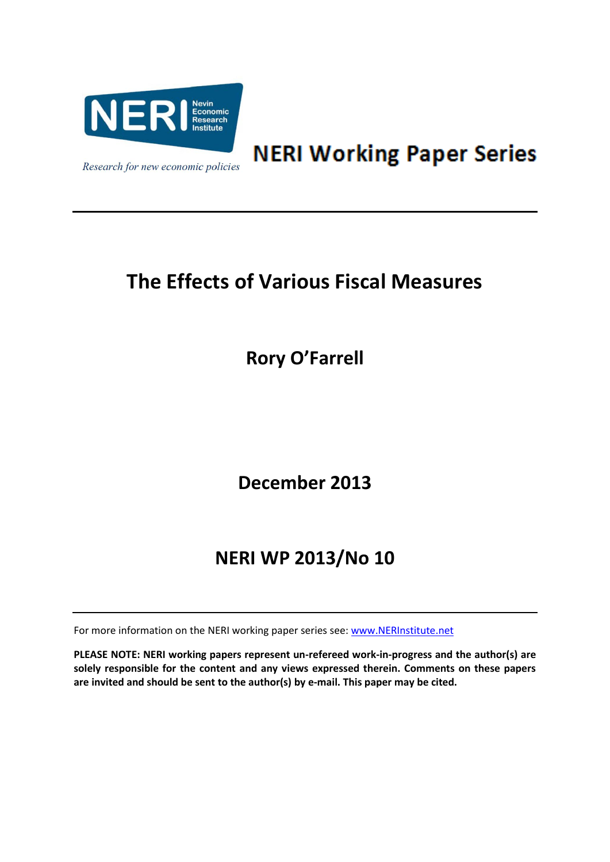

**NERI Working Paper Series** 

# **The Effects of Various Fiscal Measures**

**Rory O'Farrell**

**December 2013**

## **NERI WP 2013/No 10**

For more information on the NERI working paper series see: [www.NERInstitute.net](http://www.nerinstitute.net/)

**PLEASE NOTE: NERI working papers represent un-refereed work-in-progress and the author(s) are solely responsible for the content and any views expressed therein. Comments on these papers are invited and should be sent to the author(s) by e-mail. This paper may be cited.**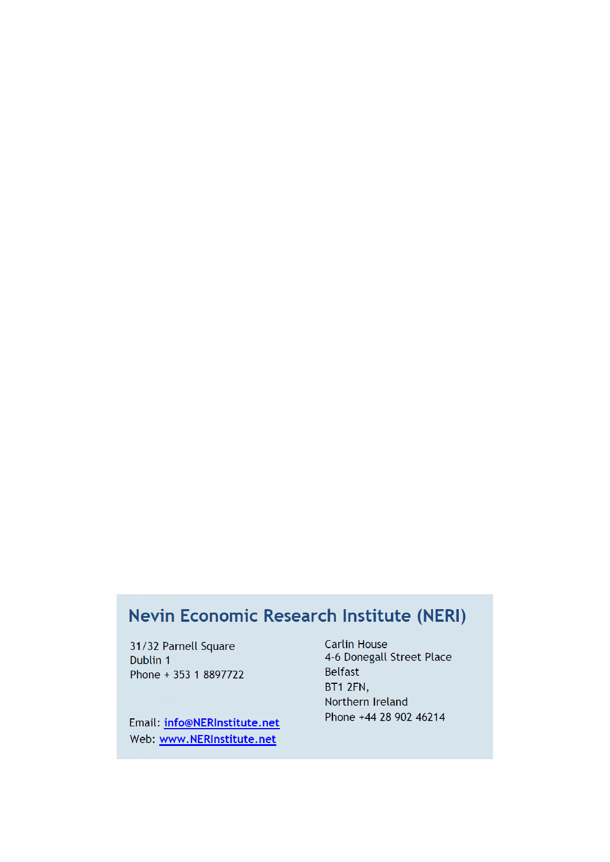## Nevin Economic Research Institute (NERI)

31/32 Parnell Square Dublin 1 Phone + 353 1 8897722

Email: info@NERInstitute.net Web: www.NERInstitute.net

**Carlin House** 4-6 Donegall Street Place **Belfast** BT1 2FN, Northern Ireland Phone +44 28 902 46214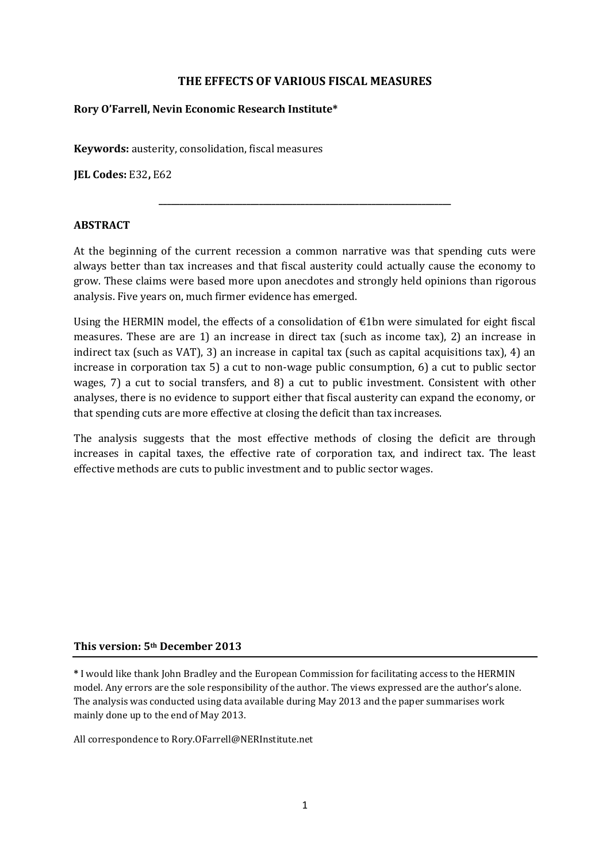### **THE EFFECTS OF VARIOUS FISCAL MEASURES**

#### **Rory O'Farrell, Nevin Economic Research Institute\***

**Keywords:** austerity, consolidation, fiscal measures

**JEL Codes:** E32**,** E62

#### **ABSTRACT**

At the beginning of the current recession a common narrative was that spending cuts were always better than tax increases and that fiscal austerity could actually cause the economy to grow. These claims were based more upon anecdotes and strongly held opinions than rigorous analysis. Five years on, much firmer evidence has emerged.

**\_\_\_\_\_\_\_\_\_\_\_\_\_\_\_\_\_\_\_\_\_\_\_\_\_\_\_\_\_\_\_\_\_\_\_\_\_\_\_\_\_\_\_\_\_\_\_\_\_\_\_\_\_\_\_\_\_\_\_\_\_\_\_\_\_\_\_\_\_\_**

Using the HERMIN model, the effects of a consolidation of  $\epsilon$ 1bn were simulated for eight fiscal measures. These are are 1) an increase in direct tax (such as income tax), 2) an increase in indirect tax (such as VAT), 3) an increase in capital tax (such as capital acquisitions tax), 4) an increase in corporation tax 5) a cut to non-wage public consumption, 6) a cut to public sector wages, 7) a cut to social transfers, and 8) a cut to public investment. Consistent with other analyses, there is no evidence to support either that fiscal austerity can expand the economy, or that spending cuts are more effective at closing the deficit than tax increases.

The analysis suggests that the most effective methods of closing the deficit are through increases in capital taxes, the effective rate of corporation tax, and indirect tax. The least effective methods are cuts to public investment and to public sector wages.

#### **This version: 5th December 2013**

**\*** I would like thank John Bradley and the European Commission for facilitating access to the HERMIN model. Any errors are the sole responsibility of the author. The views expressed are the author's alone. The analysis was conducted using data available during May 2013 and the paper summarises work mainly done up to the end of May 2013.

All correspondence to Rory.OFarrell@NERInstitute.net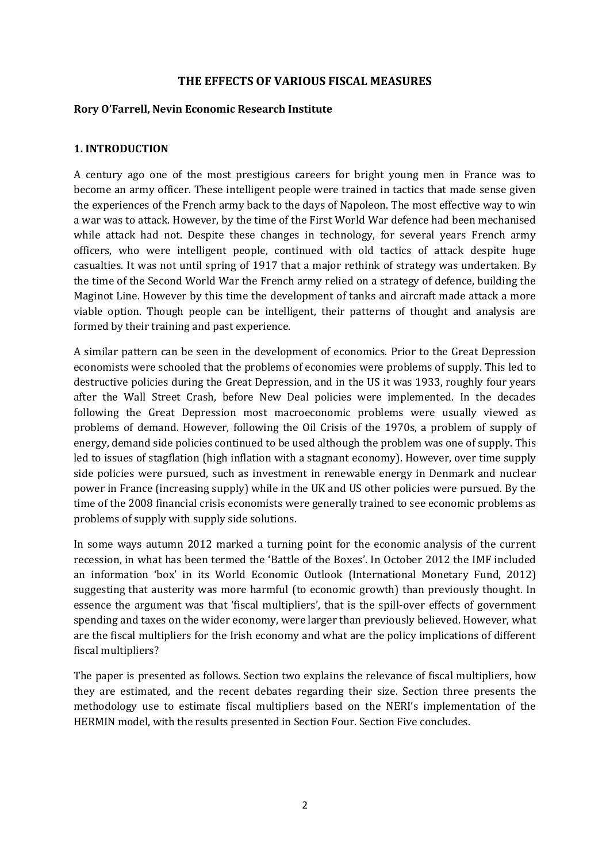#### **THE EFFECTS OF VARIOUS FISCAL MEASURES**

#### **Rory O'Farrell, Nevin Economic Research Institute**

#### **1. INTRODUCTION**

A century ago one of the most prestigious careers for bright young men in France was to become an army officer. These intelligent people were trained in tactics that made sense given the experiences of the French army back to the days of Napoleon. The most effective way to win a war was to attack. However, by the time of the First World War defence had been mechanised while attack had not. Despite these changes in technology, for several years French army officers, who were intelligent people, continued with old tactics of attack despite huge casualties. It was not until spring of 1917 that a major rethink of strategy was undertaken. By the time of the Second World War the French army relied on a strategy of defence, building the Maginot Line. However by this time the development of tanks and aircraft made attack a more viable option. Though people can be intelligent, their patterns of thought and analysis are formed by their training and past experience.

A similar pattern can be seen in the development of economics. Prior to the Great Depression economists were schooled that the problems of economies were problems of supply. This led to destructive policies during the Great Depression, and in the US it was 1933, roughly four years after the Wall Street Crash, before New Deal policies were implemented. In the decades following the Great Depression most macroeconomic problems were usually viewed as problems of demand. However, following the Oil Crisis of the 1970s, a problem of supply of energy, demand side policies continued to be used although the problem was one of supply. This led to issues of stagflation (high inflation with a stagnant economy). However, over time supply side policies were pursued, such as investment in renewable energy in Denmark and nuclear power in France (increasing supply) while in the UK and US other policies were pursued. By the time of the 2008 financial crisis economists were generally trained to see economic problems as problems of supply with supply side solutions.

In some ways autumn 2012 marked a turning point for the economic analysis of the current recession, in what has been termed the 'Battle of the Boxes'. In October 2012 the IMF included an information 'box' in its World Economic Outlook [\(International Monetary Fund, 2012\)](#page-22-0) suggesting that austerity was more harmful (to economic growth) than previously thought. In essence the argument was that 'fiscal multipliers', that is the spill-over effects of government spending and taxes on the wider economy, were larger than previously believed. However, what are the fiscal multipliers for the Irish economy and what are the policy implications of different fiscal multipliers?

The paper is presented as follows. Section two explains the relevance of fiscal multipliers, how they are estimated, and the recent debates regarding their size. Section three presents the methodology use to estimate fiscal multipliers based on the NERI's implementation of the HERMIN model, with the results presented in Section Four. Section Five concludes.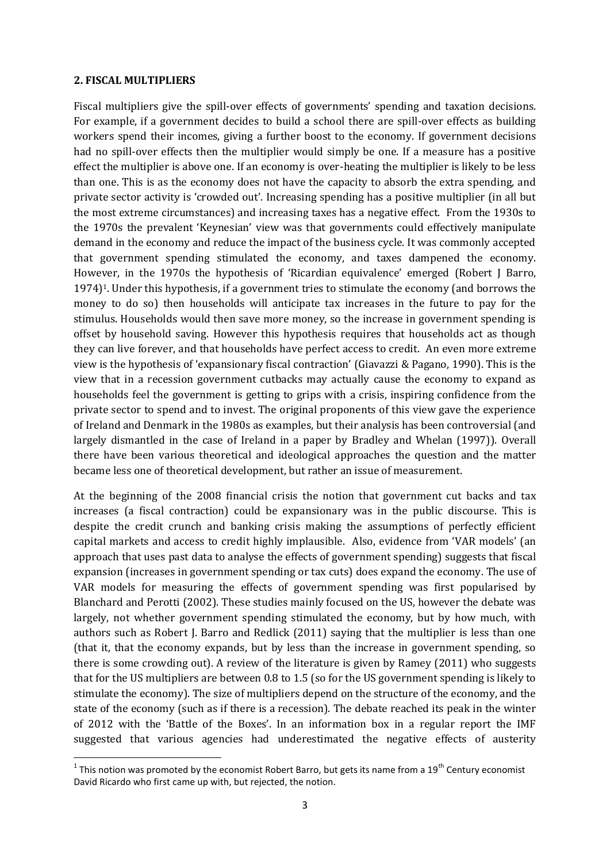#### **2. FISCAL MULTIPLIERS**

Fiscal multipliers give the spill-over effects of governments' spending and taxation decisions. For example, if a government decides to build a school there are spill-over effects as building workers spend their incomes, giving a further boost to the economy. If government decisions had no spill-over effects then the multiplier would simply be one. If a measure has a positive effect the multiplier is above one. If an economy is over-heating the multiplier is likely to be less than one. This is as the economy does not have the capacity to absorb the extra spending, and private sector activity is 'crowded out'. Increasing spending has a positive multiplier (in all but the most extreme circumstances) and increasing taxes has a negative effect. From the 1930s to the 1970s the prevalent 'Keynesian' view was that governments could effectively manipulate demand in the economy and reduce the impact of the business cycle. It was commonly accepted that government spending stimulated the economy, and taxes dampened the economy. However, in the 1970s the hypothesis of 'Ricardian equivalence' emerged [\(Robert J Barro,](#page-21-0)  [1974\)](#page-21-0)<sup>1</sup>. Under this hypothesis, if a government tries to stimulate the economy (and borrows the money to do so) then households will anticipate tax increases in the future to pay for the stimulus. Households would then save more money, so the increase in government spending is offset by household saving. However this hypothesis requires that households act as though they can live forever, and that households have perfect access to credit. An even more extreme view is the hypothesis of 'expansionary fiscal contraction' [\(Giavazzi & Pagano, 1990\)](#page-21-1). This is the view that in a recession government cutbacks may actually cause the economy to expand as households feel the government is getting to grips with a crisis, inspiring confidence from the private sector to spend and to invest. The original proponents of this view gave the experience of Ireland and Denmark in the 1980s as examples, but their analysis has been controversial (and largely dismantled in the case of Ireland in a paper by [Bradley and Whelan \(1997\)](#page-21-2)). Overall there have been various theoretical and ideological approaches the question and the matter became less one of theoretical development, but rather an issue of measurement.

At the beginning of the 2008 financial crisis the notion that government cut backs and tax increases (a fiscal contraction) could be expansionary was in the public discourse. This is despite the credit crunch and banking crisis making the assumptions of perfectly efficient capital markets and access to credit highly implausible. Also, evidence from 'VAR models' (an approach that uses past data to analyse the effects of government spending) suggests that fiscal expansion (increases in government spending or tax cuts) does expand the economy. The use of VAR models for measuring the effects of government spending was first popularised by [Blanchard and Perotti \(2002\)](#page-21-3). These studies mainly focused on the US, however the debate was largely, not whether government spending stimulated the economy, but by how much, with authors such as [Robert J. Barro and Redlick](#page-21-4) (2011) saying that the multiplier is less than one (that it, that the economy expands, but by less than the increase in government spending, so there is some crowding out). A review of the literature is given by [Ramey \(2011\)](#page-22-1) who suggests that for the US multipliers are between 0.8 to 1.5 (so for the US government spending is likely to stimulate the economy). The size of multipliers depend on the structure of the economy, and the state of the economy (such as if there is a recession). The debate reached its peak in the winter of 2012 with the 'Battle of the Boxes'. In an information box in a regular report the IMF suggested that various agencies had underestimated the negative effects of austerity

**<sup>.</sup>** <sup>1</sup> This notion was promoted by the economist Robert Barro, but gets its name from a 19<sup>th</sup> Century economist David Ricardo who first came up with, but rejected, the notion.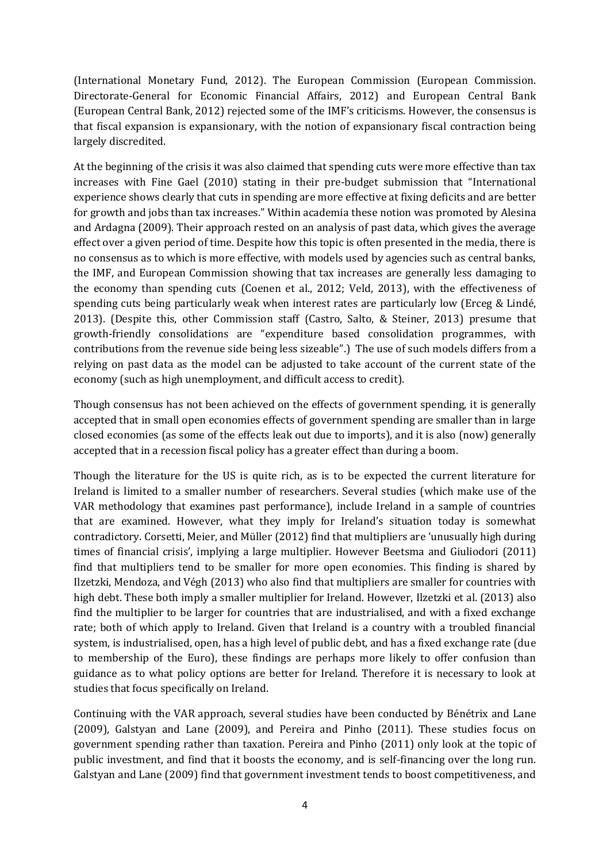[\(International Monetary Fund, 2012\)](#page-22-0). The European Commission [\(European Commission.](#page-21-5)  [Directorate-General for Economic Financial Affairs, 2012\)](#page-21-5) and European Central Bank [\(European Central Bank, 2012\)](#page-21-6) rejected some of the IMF's criticisms. However, the consensus is that fiscal expansion is expansionary, with the notion of expansionary fiscal contraction being largely discredited.

At the beginning of the crisis it was also claimed that spending cuts were more effective than tax increases with [Fine Gael \(2010\)](#page-21-7) stating in their pre-budget submission that "International experience shows clearly that cuts in spending are more effective at fixing deficits and are better for growth and jobs than tax increases." Within academia these notion was promoted by [Alesina](#page-21-8)  [and Ardagna \(2009\)](#page-21-8). Their approach rested on an analysis of past data, which gives the average effect over a given period of time. Despite how this topic is often presented in the media, there is no consensus as to which is more effective, with models used by agencies such as central banks, the IMF, and European Commission showing that tax increases are generally less damaging to the economy than spending cuts [\(Coenen et al., 2012;](#page-21-9) [Veld, 2013\)](#page-22-2), with the effectiveness of spending cuts being particularly weak when interest rates are particularly low [\(Erceg & Lindé,](#page-21-10)  [2013\)](#page-21-10). (Despite this, other Commission staff [\(Castro, Salto, & Steiner, 2013\)](#page-21-11) presume that growth-friendly consolidations are "expenditure based consolidation programmes, with contributions from the revenue side being less sizeable".) The use of such models differs from a relying on past data as the model can be adjusted to take account of the current state of the economy (such as high unemployment, and difficult access to credit).

Though consensus has not been achieved on the effects of government spending, it is generally accepted that in small open economies effects of government spending are smaller than in large closed economies (as some of the effects leak out due to imports), and it is also (now) generally accepted that in a recession fiscal policy has a greater effect than during a boom.

Though the literature for the US is quite rich, as is to be expected the current literature for Ireland is limited to a smaller number of researchers. Several studies (which make use of the VAR methodology that examines past performance), include Ireland in a sample of countries that are examined. However, what they imply for Ireland's situation today is somewhat contradictory. [Corsetti, Meier, and Müller \(2012\)](#page-21-12) find that multipliers are 'unusually high during times of financial crisis', implying a large multiplier. However [Beetsma and Giuliodori \(2011\)](#page-21-13) find that multipliers tend to be smaller for more open economies. This finding is shared by [Ilzetzki, Mendoza, and Végh \(2013\)](#page-22-3) who also find that multipliers are smaller for countries with high debt. These both imply a smaller multiplier for Ireland. However, [Ilzetzki et al. \(2013\)](#page-22-3) also find the multiplier to be larger for countries that are industrialised, and with a fixed exchange rate; both of which apply to Ireland. Given that Ireland is a country with a troubled financial system, is industrialised, open, has a high level of public debt, and has a fixed exchange rate (due to membership of the Euro), these findings are perhaps more likely to offer confusion than guidance as to what policy options are better for Ireland. Therefore it is necessary to look at studies that focus specifically on Ireland.

Continuing with the VAR approach, several studies have been conducted by [Bénétrix and Lane](#page-21-14)  [\(2009\)](#page-21-14), [Galstyan and Lane \(2009\)](#page-21-15), and [Pereira and Pinho \(2011\)](#page-22-4). These studies focus on government spending rather than taxation. [Pereira and Pinho \(2011\)](#page-22-4) only look at the topic of public investment, and find that it boosts the economy, and is self-financing over the long run. [Galstyan and Lane \(2009\)](#page-21-15) find that government investment tends to boost competitiveness, and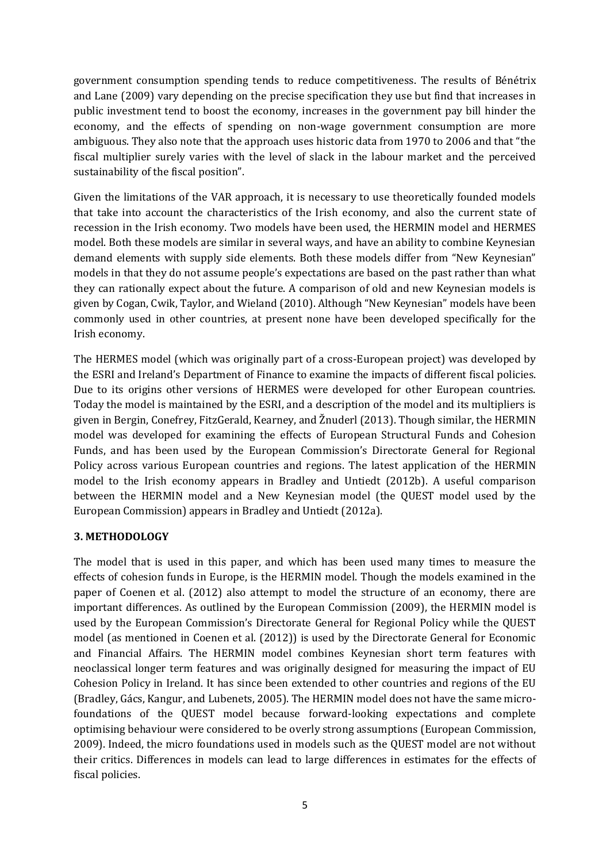government consumption spending tends to reduce competitiveness. The results of [Bénétrix](#page-21-14)  [and Lane \(2009\)](#page-21-14) vary depending on the precise specification they use but find that increases in public investment tend to boost the economy, increases in the government pay bill hinder the economy, and the effects of spending on non-wage government consumption are more ambiguous. They also note that the approach uses historic data from 1970 to 2006 and that "the fiscal multiplier surely varies with the level of slack in the labour market and the perceived sustainability of the fiscal position".

Given the limitations of the VAR approach, it is necessary to use theoretically founded models that take into account the characteristics of the Irish economy, and also the current state of recession in the Irish economy. Two models have been used, the HERMIN model and HERMES model. Both these models are similar in several ways, and have an ability to combine Keynesian demand elements with supply side elements. Both these models differ from "New Keynesian" models in that they do not assume people's expectations are based on the past rather than what they can rationally expect about the future. A comparison of old and new Keynesian models is given by [Cogan, Cwik, Taylor, and Wieland \(2010\)](#page-21-16). Although "New Keynesian" models have been commonly used in other countries, at present none have been developed specifically for the Irish economy.

The HERMES model (which was originally part of a cross-European project) was developed by the ESRI and Ireland's Department of Finance to examine the impacts of different fiscal policies. Due to its origins other versions of HERMES were developed for other European countries. Today the model is maintained by the ESRI, and a description of the model and its multipliers is given in Bergin, C[onefrey, FitzGerald, Kearney, and Žnuderl \(2013](#page-21-17)). Though similar, the HERMIN model was developed for examining the effects of European Structural Funds and Cohesion Funds, and has been used by the European Commission's Directorate General for Regional Policy across various European countries and regions. The latest application of the HERMIN model to the Irish economy appears in [Bradley and Untiedt \(2012b\)](#page-21-18). A useful comparison between the HERMIN model and a New Keynesian model (the QUEST model used by the European Commission) appears i[n Bradley and Untiedt \(2012a\)](#page-21-19).

## **3. METHODOLOGY**

The model that is used in this paper, and which has been used many times to measure the effects of cohesion funds in Europe, is the HERMIN model. Though the models examined in the paper of Coenen et al. (2012) also attempt to model the structure of an economy, there are important differences. As outlined by the European Commission [\(2009\)](#page-21-20), the HERMIN model is used by the European Commission's Directorate General for Regional Policy while the QUEST model (as mentioned in Coenen et al. (2012)) is used by the Directorate General for Economic and Financial Affairs. The HERMIN model combines Keynesian short term features with neoclassical longer term features and was originally designed for measuring the impact of EU Cohesion Policy in Ireland. It has since been extended to other countries and regions of the EU (Bradley, Gács, Kangur, and Lubenets, 2005). The HERMIN model does not have the same microfoundations of the QUEST model because forward-looking expectations and complete optimising behaviour were considered to be overly strong assumptions [\(European Commission,](#page-21-20)  [2009\)](#page-21-20). Indeed, the micro foundations used in models such as the QUEST model are not without their critics. Differences in models can lead to large differences in estimates for the effects of fiscal policies.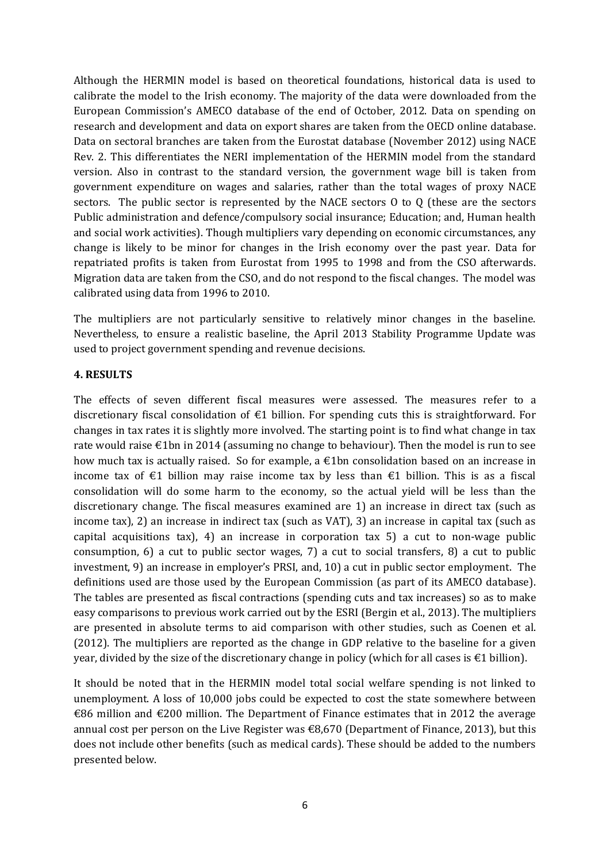Although the HERMIN model is based on theoretical foundations, historical data is used to calibrate the model to the Irish economy. The majority of the data were downloaded from the European Commission's AMECO database of the end of October, 2012. Data on spending on research and development and data on export shares are taken from the OECD online database. Data on sectoral branches are taken from the Eurostat database (November 2012) using NACE Rev. 2. This differentiates the NERI implementation of the HERMIN model from the standard version. Also in contrast to the standard version, the government wage bill is taken from government expenditure on wages and salaries, rather than the total wages of proxy NACE sectors. The public sector is represented by the NACE sectors O to Q (these are the sectors Public administration and defence/compulsory social insurance; Education; and, Human health and social work activities). Though multipliers vary depending on economic circumstances, any change is likely to be minor for changes in the Irish economy over the past year. Data for repatriated profits is taken from Eurostat from 1995 to 1998 and from the CSO afterwards. Migration data are taken from the CSO, and do not respond to the fiscal changes. The model was calibrated using data from 1996 to 2010.

The multipliers are not particularly sensitive to relatively minor changes in the baseline. Nevertheless, to ensure a realistic baseline, the April 2013 Stability Programme Update was used to project government spending and revenue decisions.

#### **4. RESULTS**

The effects of seven different fiscal measures were assessed. The measures refer to a discretionary fiscal consolidation of €1 billion. For spending cuts this is straightforward. For changes in tax rates it is slightly more involved. The starting point is to find what change in tax rate would raise €1bn in 2014 (assuming no change to behaviour). Then the model is run to see how much tax is actually raised. So for example, a  $\epsilon$ 1bn consolidation based on an increase in income tax of €1 billion may raise income tax by less than €1 billion. This is as a fiscal consolidation will do some harm to the economy, so the actual yield will be less than the discretionary change. The fiscal measures examined are 1) an increase in direct tax (such as income tax), 2) an increase in indirect tax (such as VAT), 3) an increase in capital tax (such as capital acquisitions tax), 4) an increase in corporation tax 5) a cut to non-wage public consumption, 6) a cut to public sector wages, 7) a cut to social transfers, 8) a cut to public investment, 9) an increase in employer's PRSI, and, 10) a cut in public sector employment. The definitions used are those used by the European Commission (as part of its AMECO database). The tables are presented as fiscal contractions (spending cuts and tax increases) so as to make easy comparisons to previous work carried out by the ESRI [\(Bergin et al., 2013\)](#page-21-17). The multipliers are presented in absolute terms to aid comparison with other studies, such as [Coenen et al.](#page-21-9)  [\(2012\)](#page-21-9). The multipliers are reported as the change in GDP relative to the baseline for a given year, divided by the size of the discretionary change in policy (which for all cases is  $\epsilon$ 1 billion).

It should be noted that in the HERMIN model total social welfare spending is not linked to unemployment. A loss of 10,000 jobs could be expected to cost the state somewhere between €86 million and €200 million. The Department of Finance estimates that in 2012 the average annual cost per person on the Live Register was €8,670 [\(Department of Finance, 2013\)](#page-21-21), but this does not include other benefits (such as medical cards). These should be added to the numbers presented below.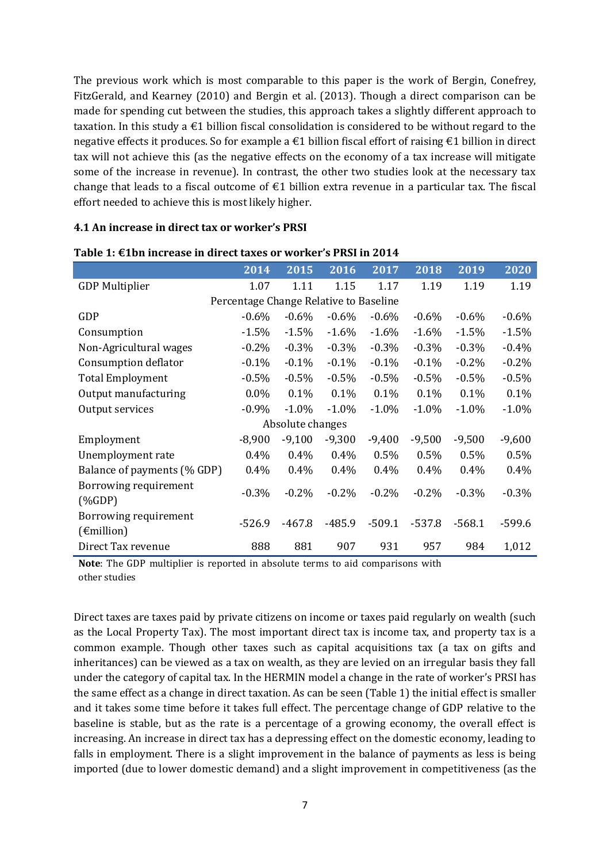The previous work which is most comparable to this paper is the work of [Bergin, Conefrey,](#page-21-22)  [FitzGerald, and Kearney \(2010\)](#page-21-22) and [Bergin et al. \(2013\)](#page-21-17). Though a direct comparison can be made for spending cut between the studies, this approach takes a slightly different approach to taxation. In this study a  $\epsilon$ 1 billion fiscal consolidation is considered to be without regard to the negative effects it produces. So for example a €1 billion fiscal effort of raising €1 billion in direct tax will not achieve this (as the negative effects on the economy of a tax increase will mitigate some of the increase in revenue). In contrast, the other two studies look at the necessary tax change that leads to a fiscal outcome of  $\epsilon$ 1 billion extra revenue in a particular tax. The fiscal effort needed to achieve this is most likely higher.

#### **4.1 An increase in direct tax or worker's PRSI**

|                                                                                                                                                                                                                                                                                                                                                            | 2014                                   | 2015             | 2016     | 2017     | 2018     | 2019     | 2020     |
|------------------------------------------------------------------------------------------------------------------------------------------------------------------------------------------------------------------------------------------------------------------------------------------------------------------------------------------------------------|----------------------------------------|------------------|----------|----------|----------|----------|----------|
| <b>GDP Multiplier</b>                                                                                                                                                                                                                                                                                                                                      | 1.07                                   | 1.11             | 1.15     | 1.17     | 1.19     | 1.19     | 1.19     |
|                                                                                                                                                                                                                                                                                                                                                            | Percentage Change Relative to Baseline |                  |          |          |          |          |          |
| GDP                                                                                                                                                                                                                                                                                                                                                        | $-0.6\%$                               | $-0.6\%$         | $-0.6\%$ | $-0.6%$  | $-0.6\%$ | $-0.6%$  | $-0.6%$  |
| Consumption                                                                                                                                                                                                                                                                                                                                                | $-1.5%$                                | $-1.5%$          | $-1.6%$  | $-1.6%$  | $-1.6\%$ | $-1.5%$  | $-1.5%$  |
| Non-Agricultural wages                                                                                                                                                                                                                                                                                                                                     | $-0.2\%$                               | $-0.3\%$         | $-0.3\%$ | $-0.3\%$ | $-0.3\%$ | $-0.3\%$ | $-0.4%$  |
| Consumption deflator                                                                                                                                                                                                                                                                                                                                       | $-0.1\%$                               | $-0.1%$          | $-0.1\%$ | $-0.1%$  | $-0.1%$  | $-0.2%$  | $-0.2%$  |
| <b>Total Employment</b>                                                                                                                                                                                                                                                                                                                                    | $-0.5\%$                               | $-0.5%$          | $-0.5\%$ | $-0.5\%$ | $-0.5\%$ | $-0.5%$  | $-0.5%$  |
| Output manufacturing                                                                                                                                                                                                                                                                                                                                       | $0.0\%$                                | 0.1%             | 0.1%     | 0.1%     | 0.1%     | 0.1%     | 0.1%     |
| Output services                                                                                                                                                                                                                                                                                                                                            | $-0.9%$                                | $-1.0\%$         | $-1.0\%$ | $-1.0\%$ | $-1.0\%$ | $-1.0%$  | $-1.0%$  |
|                                                                                                                                                                                                                                                                                                                                                            |                                        | Absolute changes |          |          |          |          |          |
| Employment                                                                                                                                                                                                                                                                                                                                                 | $-8,900$                               | $-9,100$         | $-9,300$ | $-9,400$ | $-9,500$ | $-9,500$ | $-9,600$ |
| Unemployment rate                                                                                                                                                                                                                                                                                                                                          | 0.4%                                   | $0.4\%$          | $0.4\%$  | 0.5%     | $0.5\%$  | 0.5%     | 0.5%     |
| Balance of payments (% GDP)                                                                                                                                                                                                                                                                                                                                | 0.4%                                   | 0.4%             | 0.4%     | 0.4%     | 0.4%     | 0.4%     | 0.4%     |
| Borrowing requirement<br>$(%$ $(%$ $\mathbf{A})$ $\mathbf{A}$ $\mathbf{A}$ $\mathbf{A}$ $\mathbf{A}$ $\mathbf{A}$ $\mathbf{A}$ $\mathbf{A}$ $\mathbf{A}$ $\mathbf{A}$ $\mathbf{A}$ $\mathbf{A}$ $\mathbf{A}$ $\mathbf{A}$ $\mathbf{A}$ $\mathbf{A}$ $\mathbf{A}$ $\mathbf{A}$ $\mathbf{A}$ $\mathbf{A}$ $\mathbf{A}$ $\mathbf{A}$ $\mathbf{A}$ $\mathbf{A$ | $-0.3\%$                               | $-0.2\%$         | $-0.2\%$ | $-0.2\%$ | $-0.2\%$ | $-0.3%$  | $-0.3%$  |
| Borrowing requirement<br>$(\epsilon$ million)                                                                                                                                                                                                                                                                                                              | $-526.9$                               | $-467.8$         | $-485.9$ | $-509.1$ | $-537.8$ | $-568.1$ | $-599.6$ |
| Direct Tax revenue                                                                                                                                                                                                                                                                                                                                         | 888                                    | 881              | 907      | 931      | 957      | 984      | 1,012    |

#### **Table 1: €1bn increase in direct taxes or worker's PRSI in 2014**

**Note**: The GDP multiplier is reported in absolute terms to aid comparisons with other studies

Direct taxes are taxes paid by private citizens on income or taxes paid regularly on wealth (such as the Local Property Tax). The most important direct tax is income tax, and property tax is a common example. Though other taxes such as capital acquisitions tax (a tax on gifts and inheritances) can be viewed as a tax on wealth, as they are levied on an irregular basis they fall under the category of capital tax. In the HERMIN model a change in the rate of worker's PRSI has the same effect as a change in direct taxation. As can be seen (Table 1) the initial effect is smaller and it takes some time before it takes full effect. The percentage change of GDP relative to the baseline is stable, but as the rate is a percentage of a growing economy, the overall effect is increasing. An increase in direct tax has a depressing effect on the domestic economy, leading to falls in employment. There is a slight improvement in the balance of payments as less is being imported (due to lower domestic demand) and a slight improvement in competitiveness (as the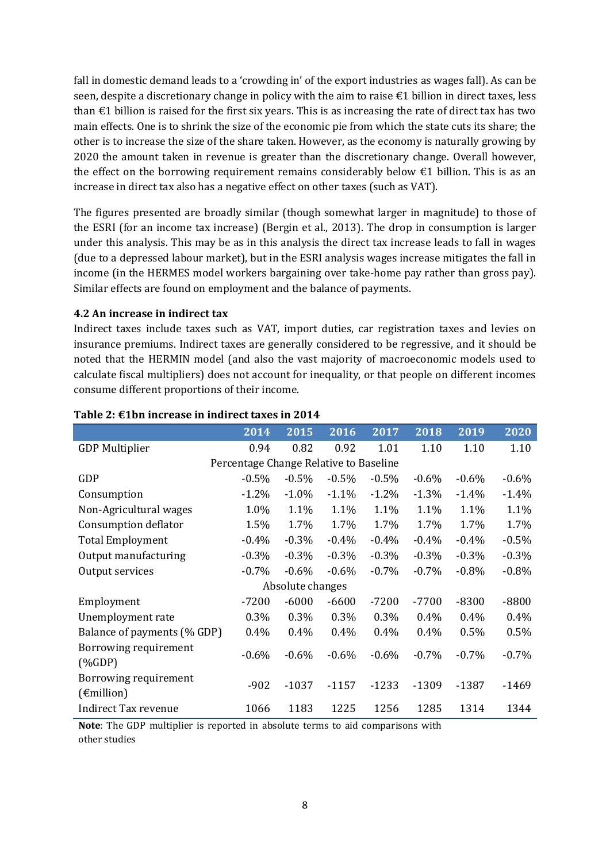fall in domestic demand leads to a 'crowding in' of the export industries as wages fall). As can be seen, despite a discretionary change in policy with the aim to raise €1 billion in direct taxes, less than  $\epsilon$ 1 billion is raised for the first six years. This is as increasing the rate of direct tax has two main effects. One is to shrink the size of the economic pie from which the state cuts its share; the other is to increase the size of the share taken. However, as the economy is naturally growing by 2020 the amount taken in revenue is greater than the discretionary change. Overall however, the effect on the borrowing requirement remains considerably below  $\epsilon$ 1 billion. This is as an increase in direct tax also has a negative effect on other taxes (such as VAT).

The figures presented are broadly similar (though somewhat larger in magnitude) to those of the ESRI (for an income tax increase) [\(Bergin et al., 2013\)](#page-21-17). The drop in consumption is larger under this analysis. This may be as in this analysis the direct tax increase leads to fall in wages (due to a depressed labour market), but in the ESRI analysis wages increase mitigates the fall in income (in the HERMES model workers bargaining over take-home pay rather than gross pay). Similar effects are found on employment and the balance of payments.

#### **4.2 An increase in indirect tax**

Indirect taxes include taxes such as VAT, import duties, car registration taxes and levies on insurance premiums. Indirect taxes are generally considered to be regressive, and it should be noted that the HERMIN model (and also the vast majority of macroeconomic models used to calculate fiscal multipliers) does not account for inequality, or that people on different incomes consume different proportions of their income.

|                                                                                                                                                                                     | 2014                                   | 2015             | 2016     | 2017     | 2018     | 2019     | 2020    |
|-------------------------------------------------------------------------------------------------------------------------------------------------------------------------------------|----------------------------------------|------------------|----------|----------|----------|----------|---------|
| <b>GDP Multiplier</b>                                                                                                                                                               | 0.94                                   | 0.82             | 0.92     | 1.01     | 1.10     | 1.10     | 1.10    |
|                                                                                                                                                                                     | Percentage Change Relative to Baseline |                  |          |          |          |          |         |
| GDP                                                                                                                                                                                 | $-0.5%$                                | $-0.5%$          | $-0.5%$  | $-0.5%$  | $-0.6\%$ | $-0.6%$  | $-0.6%$ |
| Consumption                                                                                                                                                                         | $-1.2%$                                | $-1.0%$          | $-1.1%$  | $-1.2%$  | $-1.3%$  | $-1.4%$  | $-1.4%$ |
| Non-Agricultural wages                                                                                                                                                              | 1.0%                                   | 1.1%             | 1.1%     | 1.1%     | 1.1%     | 1.1%     | 1.1%    |
| Consumption deflator                                                                                                                                                                | 1.5%                                   | 1.7%             | 1.7%     | 1.7%     | 1.7%     | 1.7%     | 1.7%    |
| <b>Total Employment</b>                                                                                                                                                             | $-0.4\%$                               | $-0.3\%$         | $-0.4\%$ | $-0.4\%$ | $-0.4%$  | $-0.4\%$ | $-0.5%$ |
| Output manufacturing                                                                                                                                                                | $-0.3\%$                               | $-0.3%$          | $-0.3%$  | $-0.3%$  | $-0.3%$  | $-0.3\%$ | $-0.3%$ |
| Output services                                                                                                                                                                     | $-0.7%$                                | $-0.6%$          | $-0.6\%$ | $-0.7%$  | $-0.7%$  | $-0.8%$  | $-0.8%$ |
|                                                                                                                                                                                     |                                        | Absolute changes |          |          |          |          |         |
| Employment                                                                                                                                                                          | $-7200$                                | $-6000$          | $-6600$  | $-7200$  | $-7700$  | $-8300$  | $-8800$ |
| Unemployment rate                                                                                                                                                                   | 0.3%                                   | 0.3%             | 0.3%     | 0.3%     | 0.4%     | 0.4%     | 0.4%    |
| Balance of payments (% GDP)                                                                                                                                                         | 0.4%                                   | 0.4%             | 0.4%     | 0.4%     | 0.4%     | 0.5%     | 0.5%    |
| Borrowing requirement<br>$(%$ $(%$ $\mathbb{R}$ $\setminus$ $\setminus$ $\setminus$ $\setminus$ $\setminus$ $\setminus$ $\setminus$ $\setminus$ $\setminus$ $\setminus$ $\setminus$ | $-0.6%$                                | $-0.6%$          | $-0.6\%$ | $-0.6%$  | $-0.7%$  | $-0.7%$  | $-0.7%$ |
| Borrowing requirement<br>$(\epsilon$ million)                                                                                                                                       | $-902$                                 | $-1037$          | $-1157$  | $-1233$  | $-1309$  | $-1387$  | $-1469$ |
| <b>Indirect Tax revenue</b>                                                                                                                                                         | 1066                                   | 1183             | 1225     | 1256     | 1285     | 1314     | 1344    |

#### **Table 2: €1bn increase in indirect taxes in 2014**

**Note**: The GDP multiplier is reported in absolute terms to aid comparisons with other studies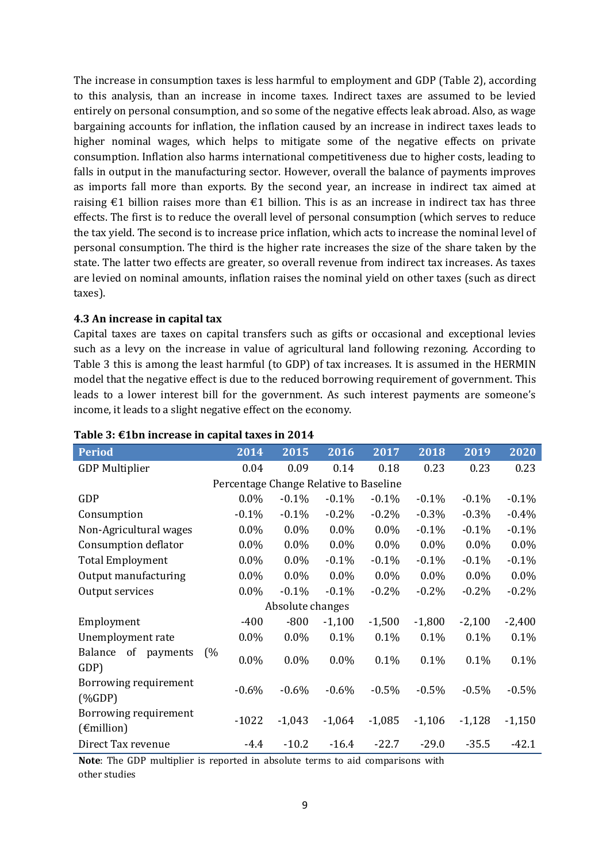The increase in consumption taxes is less harmful to employment and GDP (Table 2), according to this analysis, than an increase in income taxes. Indirect taxes are assumed to be levied entirely on personal consumption, and so some of the negative effects leak abroad. Also, as wage bargaining accounts for inflation, the inflation caused by an increase in indirect taxes leads to higher nominal wages, which helps to mitigate some of the negative effects on private consumption. Inflation also harms international competitiveness due to higher costs, leading to falls in output in the manufacturing sector. However, overall the balance of payments improves as imports fall more than exports. By the second year, an increase in indirect tax aimed at raising  $\epsilon$ 1 billion raises more than  $\epsilon$ 1 billion. This is as an increase in indirect tax has three effects. The first is to reduce the overall level of personal consumption (which serves to reduce the tax yield. The second is to increase price inflation, which acts to increase the nominal level of personal consumption. The third is the higher rate increases the size of the share taken by the state. The latter two effects are greater, so overall revenue from indirect tax increases. As taxes are levied on nominal amounts, inflation raises the nominal yield on other taxes (such as direct taxes).

#### **4.3 An increase in capital tax**

Capital taxes are taxes on capital transfers such as gifts or occasional and exceptional levies such as a levy on the increase in value of agricultural land following rezoning. According to Table 3 this is among the least harmful (to GDP) of tax increases. It is assumed in the HERMIN model that the negative effect is due to the reduced borrowing requirement of government. This leads to a lower interest bill for the government. As such interest payments are someone's income, it leads to a slight negative effect on the economy.

| <b>Period</b>                                                                                                                                                                                                                                                                                                                                              | 2014                                   | 2015             | 2016     | 2017     | 2018     | 2019     | 2020     |
|------------------------------------------------------------------------------------------------------------------------------------------------------------------------------------------------------------------------------------------------------------------------------------------------------------------------------------------------------------|----------------------------------------|------------------|----------|----------|----------|----------|----------|
| <b>GDP Multiplier</b>                                                                                                                                                                                                                                                                                                                                      | 0.04                                   | 0.09             | 0.14     | 0.18     | 0.23     | 0.23     | 0.23     |
|                                                                                                                                                                                                                                                                                                                                                            | Percentage Change Relative to Baseline |                  |          |          |          |          |          |
| GDP                                                                                                                                                                                                                                                                                                                                                        | $0.0\%$                                | $-0.1\%$         | $-0.1%$  | $-0.1\%$ | $-0.1\%$ | $-0.1\%$ | $-0.1%$  |
| Consumption                                                                                                                                                                                                                                                                                                                                                | $-0.1%$                                | $-0.1%$          | $-0.2%$  | $-0.2%$  | $-0.3%$  | $-0.3\%$ | $-0.4%$  |
| Non-Agricultural wages                                                                                                                                                                                                                                                                                                                                     | $0.0\%$                                | $0.0\%$          | $0.0\%$  | $0.0\%$  | $-0.1%$  | $-0.1%$  | $-0.1%$  |
| Consumption deflator                                                                                                                                                                                                                                                                                                                                       | $0.0\%$                                | $0.0\%$          | $0.0\%$  | $0.0\%$  | $0.0\%$  | $0.0\%$  | 0.0%     |
| <b>Total Employment</b>                                                                                                                                                                                                                                                                                                                                    | $0.0\%$                                | $0.0\%$          | $-0.1%$  | $-0.1%$  | $-0.1%$  | $-0.1%$  | $-0.1%$  |
| Output manufacturing                                                                                                                                                                                                                                                                                                                                       | $0.0\%$                                | $0.0\%$          | $0.0\%$  | $0.0\%$  | $0.0\%$  | $0.0\%$  | $0.0\%$  |
| Output services                                                                                                                                                                                                                                                                                                                                            | $0.0\%$                                | $-0.1%$          | $-0.1\%$ | $-0.2%$  | $-0.2\%$ | $-0.2%$  | $-0.2%$  |
|                                                                                                                                                                                                                                                                                                                                                            |                                        | Absolute changes |          |          |          |          |          |
| Employment                                                                                                                                                                                                                                                                                                                                                 | $-400$                                 | $-800$           | $-1,100$ | $-1,500$ | $-1,800$ | $-2,100$ | $-2,400$ |
| Unemployment rate                                                                                                                                                                                                                                                                                                                                          | $0.0\%$                                | $0.0\%$          | 0.1%     | 0.1%     | 0.1%     | 0.1%     | 0.1%     |
| of payments<br>Balance<br>GDP)                                                                                                                                                                                                                                                                                                                             | (%<br>$0.0\%$                          | 0.0%             | $0.0\%$  | 0.1%     | 0.1%     | 0.1%     | 0.1%     |
| Borrowing requirement<br>$(%$ $(%$ $\mathbf{A})$ $\mathbf{A}$ $\mathbf{A}$ $\mathbf{C}$ $\mathbf{D}$ $\mathbf{P}$ $\mathbf{D}$ $\mathbf{D}$ $\mathbf{D}$ $\mathbf{D}$ $\mathbf{D}$ $\mathbf{D}$ $\mathbf{D}$ $\mathbf{D}$ $\mathbf{D}$ $\mathbf{D}$ $\mathbf{D}$ $\mathbf{D}$ $\mathbf{D}$ $\mathbf{D}$ $\mathbf{D}$ $\mathbf{D}$ $\mathbf{D}$ $\mathbf{D$ | $-0.6%$                                | $-0.6\%$         | $-0.6\%$ | $-0.5%$  | $-0.5\%$ | $-0.5\%$ | $-0.5%$  |
| Borrowing requirement<br>$(\epsilon$ million)                                                                                                                                                                                                                                                                                                              | $-1022$                                | $-1,043$         | $-1,064$ | $-1,085$ | $-1,106$ | $-1,128$ | $-1,150$ |
| Direct Tax revenue                                                                                                                                                                                                                                                                                                                                         | -4.4                                   | $-10.2$          | $-16.4$  | $-22.7$  | $-29.0$  | $-35.5$  | $-42.1$  |

#### **Table 3: €1bn increase in capital taxes in 2014**

**Note**: The GDP multiplier is reported in absolute terms to aid comparisons with other studies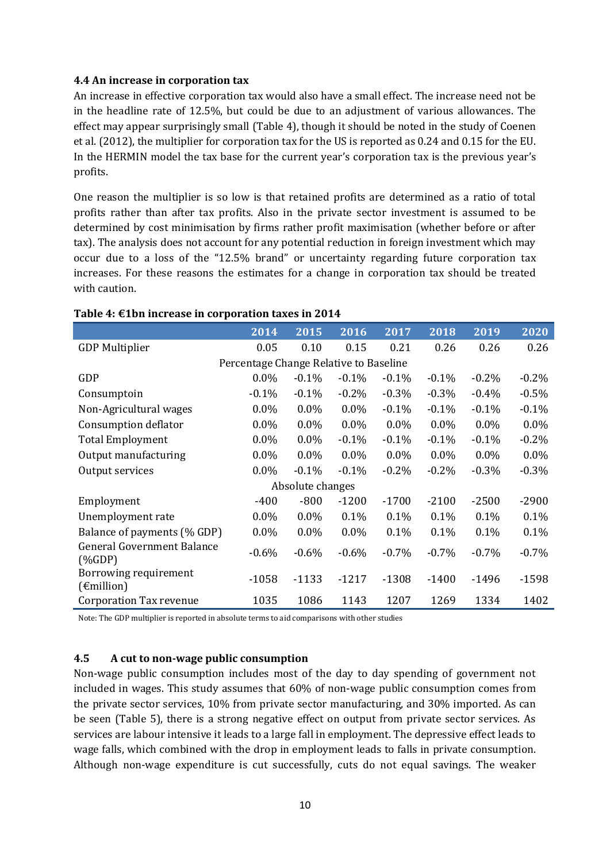#### **4.4 An increase in corporation tax**

An increase in effective corporation tax would also have a small effect. The increase need not be in the headline rate of 12.5%, but could be due to an adjustment of various allowances. The effect may appear surprisingly small (Table 4), though it should be noted in the study of [Coenen](#page-21-9)  [et al. \(2012\)](#page-21-9), the multiplier for corporation tax for the US is reported as 0.24 and 0.15 for the EU. In the HERMIN model the tax base for the current year's corporation tax is the previous year's profits.

One reason the multiplier is so low is that retained profits are determined as a ratio of total profits rather than after tax profits. Also in the private sector investment is assumed to be determined by cost minimisation by firms rather profit maximisation (whether before or after tax). The analysis does not account for any potential reduction in foreign investment which may occur due to a loss of the "12.5% brand" or uncertainty regarding future corporation tax increases. For these reasons the estimates for a change in corporation tax should be treated with caution.

|                                                | 2014                                   | 2015             | 2016     | 2017     | 2018     | 2019    | 2020     |
|------------------------------------------------|----------------------------------------|------------------|----------|----------|----------|---------|----------|
| <b>GDP Multiplier</b>                          | 0.05                                   | 0.10             | 0.15     | 0.21     | 0.26     | 0.26    | 0.26     |
|                                                | Percentage Change Relative to Baseline |                  |          |          |          |         |          |
| GDP                                            | $0.0\%$                                | $-0.1%$          | $-0.1%$  | $-0.1%$  | $-0.1\%$ | $-0.2%$ | $-0.2\%$ |
| Consumptoin                                    | $-0.1%$                                | $-0.1%$          | $-0.2\%$ | $-0.3%$  | $-0.3%$  | $-0.4%$ | $-0.5%$  |
| Non-Agricultural wages                         | $0.0\%$                                | $0.0\%$          | $0.0\%$  | $-0.1%$  | $-0.1%$  | $-0.1%$ | $-0.1%$  |
| Consumption deflator                           | $0.0\%$                                | $0.0\%$          | $0.0\%$  | $0.0\%$  | $0.0\%$  | $0.0\%$ | $0.0\%$  |
| <b>Total Employment</b>                        | $0.0\%$                                | $0.0\%$          | $-0.1%$  | $-0.1%$  | $-0.1%$  | $-0.1%$ | $-0.2%$  |
| Output manufacturing                           | $0.0\%$                                | $0.0\%$          | $0.0\%$  | $0.0\%$  | $0.0\%$  | $0.0\%$ | $0.0\%$  |
| Output services                                | $0.0\%$                                | $-0.1%$          | $-0.1\%$ | $-0.2%$  | $-0.2%$  | $-0.3%$ | $-0.3%$  |
|                                                |                                        | Absolute changes |          |          |          |         |          |
| Employment                                     | $-400$                                 | $-800$           | $-1200$  | $-1700$  | $-2100$  | $-2500$ | $-2900$  |
| Unemployment rate                              | $0.0\%$                                | $0.0\%$          | 0.1%     | $0.1\%$  | $0.1\%$  | 0.1%    | 0.1%     |
| Balance of payments (% GDP)                    | $0.0\%$                                | $0.0\%$          | $0.0\%$  | 0.1%     | 0.1%     | 0.1%    | 0.1%     |
| <b>General Government Balance</b><br>$(\%GDP)$ | $-0.6%$                                | $-0.6%$          | $-0.6\%$ | $-0.7\%$ | $-0.7%$  | $-0.7%$ | $-0.7%$  |
| Borrowing requirement<br>$(\epsilon$ million)  | $-1058$                                | $-1133$          | $-1217$  | $-1308$  | $-1400$  | $-1496$ | $-1598$  |
| <b>Corporation Tax revenue</b>                 | 1035                                   | 1086             | 1143     | 1207     | 1269     | 1334    | 1402     |

#### **Table 4: €1bn increase in corporation taxes in 2014**

Note: The GDP multiplier is reported in absolute terms to aid comparisons with other studies

#### **4.5 A cut to non-wage public consumption**

Non-wage public consumption includes most of the day to day spending of government not included in wages. This study assumes that 60% of non-wage public consumption comes from the private sector services, 10% from private sector manufacturing, and 30% imported. As can be seen (Table 5), there is a strong negative effect on output from private sector services. As services are labour intensive it leads to a large fall in employment. The depressive effect leads to wage falls, which combined with the drop in employment leads to falls in private consumption. Although non-wage expenditure is cut successfully, cuts do not equal savings. The weaker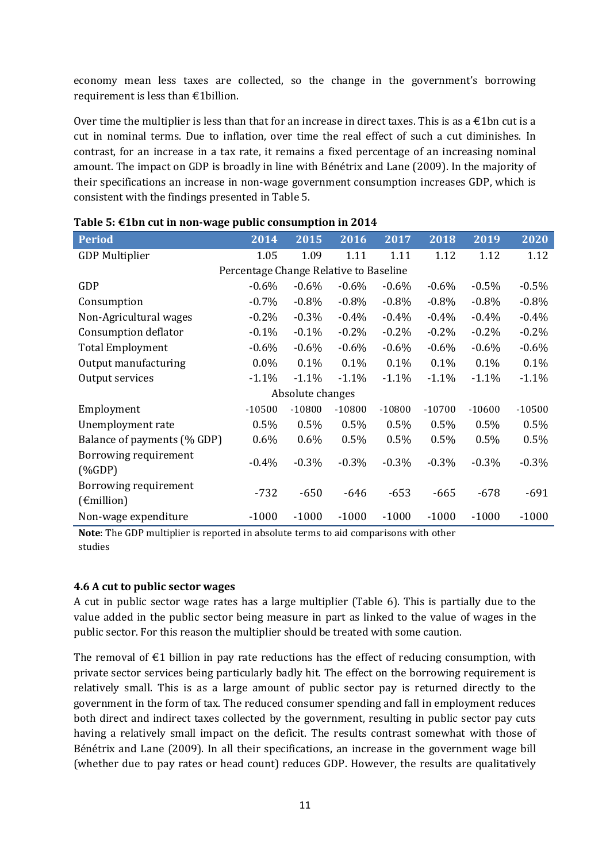economy mean less taxes are collected, so the change in the government's borrowing requirement is less than €1billion.

Over time the multiplier is less than that for an increase in direct taxes. This is as a  $\epsilon$ 1bn cut is a cut in nominal terms. Due to inflation, over time the real effect of such a cut diminishes. In contrast, for an increase in a tax rate, it remains a fixed percentage of an increasing nominal amount. The impact on GDP is broadly in line with [Bénétrix and Lane \(2009\)](#page-21-14). In the majority of their specifications an increase in non-wage government consumption increases GDP, which is consistent with the findings presented in Table 5.

| <b>Period</b>                                 | 2014                                   | 2015             | 2016     | 2017     | 2018     | 2019     | 2020     |
|-----------------------------------------------|----------------------------------------|------------------|----------|----------|----------|----------|----------|
| <b>GDP Multiplier</b>                         | 1.05                                   | 1.09             | 1.11     | 1.11     | 1.12     | 1.12     | 1.12     |
|                                               | Percentage Change Relative to Baseline |                  |          |          |          |          |          |
| GDP                                           | $-0.6%$                                | $-0.6%$          | $-0.6%$  | $-0.6\%$ | $-0.6\%$ | $-0.5%$  | $-0.5%$  |
| Consumption                                   | $-0.7%$                                | $-0.8%$          | $-0.8%$  | $-0.8%$  | $-0.8%$  | $-0.8\%$ | $-0.8%$  |
| Non-Agricultural wages                        | $-0.2%$                                | $-0.3%$          | $-0.4%$  | $-0.4%$  | $-0.4%$  | $-0.4%$  | $-0.4%$  |
| Consumption deflator                          | $-0.1\%$                               | $-0.1%$          | $-0.2%$  | $-0.2%$  | $-0.2%$  | $-0.2%$  | $-0.2%$  |
| <b>Total Employment</b>                       | $-0.6%$                                | $-0.6%$          | $-0.6%$  | $-0.6%$  | $-0.6%$  | $-0.6%$  | $-0.6%$  |
| Output manufacturing                          | $0.0\%$                                | 0.1%             | 0.1%     | 0.1%     | 0.1%     | 0.1%     | 0.1%     |
| Output services                               | $-1.1%$                                | $-1.1%$          | $-1.1%$  | $-1.1%$  | $-1.1%$  | $-1.1%$  | $-1.1%$  |
|                                               |                                        | Absolute changes |          |          |          |          |          |
| Employment                                    | $-10500$                               | $-10800$         | $-10800$ | $-10800$ | $-10700$ | $-10600$ | $-10500$ |
| Unemployment rate                             | 0.5%                                   | 0.5%             | 0.5%     | 0.5%     | 0.5%     | 0.5%     | 0.5%     |
| Balance of payments (% GDP)                   | $0.6\%$                                | $0.6\%$          | 0.5%     | 0.5%     | 0.5%     | 0.5%     | 0.5%     |
| Borrowing requirement<br>$(\%GDP)$            | $-0.4%$                                | $-0.3%$          | $-0.3%$  | $-0.3%$  | $-0.3\%$ | $-0.3\%$ | $-0.3%$  |
| Borrowing requirement<br>$(\epsilon$ million) | $-732$                                 | $-650$           | -646     | $-653$   | $-665$   | $-678$   | $-691$   |
| Non-wage expenditure                          | $-1000$                                | $-1000$          | $-1000$  | $-1000$  | $-1000$  | $-1000$  | $-1000$  |

|  | Table 5: $\epsilon$ 1bn cut in non-wage public consumption in 2014 |  |  |  |
|--|--------------------------------------------------------------------|--|--|--|
|  |                                                                    |  |  |  |

**Note**: The GDP multiplier is reported in absolute terms to aid comparisons with other studies

#### **4.6 A cut to public sector wages**

A cut in public sector wage rates has a large multiplier (Table 6). This is partially due to the value added in the public sector being measure in part as linked to the value of wages in the public sector. For this reason the multiplier should be treated with some caution.

The removal of  $\epsilon$ 1 billion in pay rate reductions has the effect of reducing consumption, with private sector services being particularly badly hit. The effect on the borrowing requirement is relatively small. This is as a large amount of public sector pay is returned directly to the government in the form of tax. The reduced consumer spending and fall in employment reduces both direct and indirect taxes collected by the government, resulting in public sector pay cuts having a relatively small impact on the deficit. The results contrast somewhat with those of [Bénétrix and Lane \(2009\)](#page-21-14). In all their specifications, an increase in the government wage bill (whether due to pay rates or head count) reduces GDP. However, the results are qualitatively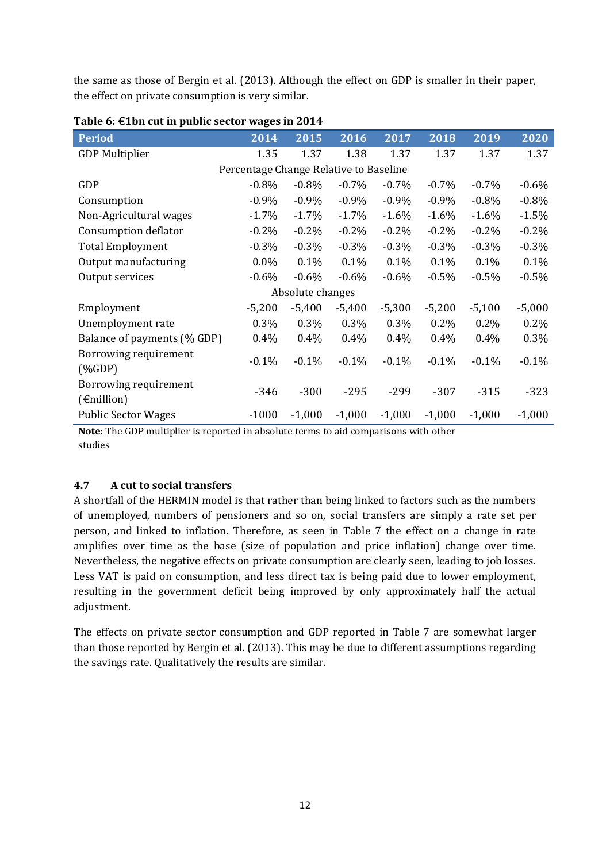the same as those of [Bergin et al. \(2013\)](#page-21-17). Although the effect on GDP is smaller in their paper, the effect on private consumption is very similar.

| <b>Period</b>                                                                                                                                                                                                                                                                                                                                              | 2014                                   | 2015             | 2016     | 2017     | 2018     | 2019     | 2020     |
|------------------------------------------------------------------------------------------------------------------------------------------------------------------------------------------------------------------------------------------------------------------------------------------------------------------------------------------------------------|----------------------------------------|------------------|----------|----------|----------|----------|----------|
| <b>GDP Multiplier</b>                                                                                                                                                                                                                                                                                                                                      | 1.35                                   | 1.37             | 1.38     | 1.37     | 1.37     | 1.37     | 1.37     |
|                                                                                                                                                                                                                                                                                                                                                            | Percentage Change Relative to Baseline |                  |          |          |          |          |          |
| GDP                                                                                                                                                                                                                                                                                                                                                        | $-0.8\%$                               | $-0.8\%$         | $-0.7\%$ | $-0.7\%$ | $-0.7\%$ | $-0.7\%$ | $-0.6%$  |
| Consumption                                                                                                                                                                                                                                                                                                                                                | $-0.9%$                                | $-0.9%$          | $-0.9%$  | $-0.9%$  | $-0.9\%$ | $-0.8%$  | $-0.8%$  |
| Non-Agricultural wages                                                                                                                                                                                                                                                                                                                                     | $-1.7\%$                               | $-1.7%$          | $-1.7%$  | $-1.6%$  | $-1.6%$  | $-1.6%$  | $-1.5%$  |
| Consumption deflator                                                                                                                                                                                                                                                                                                                                       | $-0.2%$                                | $-0.2\%$         | $-0.2%$  | $-0.2%$  | $-0.2\%$ | $-0.2%$  | $-0.2%$  |
| <b>Total Employment</b>                                                                                                                                                                                                                                                                                                                                    | $-0.3%$                                | $-0.3%$          | $-0.3%$  | $-0.3%$  | $-0.3%$  | $-0.3%$  | $-0.3%$  |
| Output manufacturing                                                                                                                                                                                                                                                                                                                                       | $0.0\%$                                | 0.1%             | 0.1%     | $0.1\%$  | $0.1\%$  | 0.1%     | 0.1%     |
| Output services                                                                                                                                                                                                                                                                                                                                            | $-0.6%$                                | $-0.6%$          | $-0.6%$  | $-0.6%$  | $-0.5%$  | $-0.5%$  | $-0.5%$  |
|                                                                                                                                                                                                                                                                                                                                                            |                                        | Absolute changes |          |          |          |          |          |
| Employment                                                                                                                                                                                                                                                                                                                                                 | $-5,200$                               | $-5,400$         | $-5,400$ | $-5,300$ | $-5,200$ | $-5,100$ | $-5,000$ |
| Unemployment rate                                                                                                                                                                                                                                                                                                                                          | 0.3%                                   | 0.3%             | 0.3%     | 0.3%     | $0.2\%$  | 0.2%     | 0.2%     |
| Balance of payments (% GDP)                                                                                                                                                                                                                                                                                                                                | $0.4\%$                                | 0.4%             | 0.4%     | $0.4\%$  | $0.4\%$  | 0.4%     | 0.3%     |
| Borrowing requirement<br>$(%$ $(%$ $\mathbf{A})$ $\mathbf{A}$ $\mathbf{A}$ $\mathbf{A}$ $\mathbf{A}$ $\mathbf{A}$ $\mathbf{A}$ $\mathbf{A}$ $\mathbf{A}$ $\mathbf{A}$ $\mathbf{A}$ $\mathbf{A}$ $\mathbf{A}$ $\mathbf{A}$ $\mathbf{A}$ $\mathbf{A}$ $\mathbf{A}$ $\mathbf{A}$ $\mathbf{A}$ $\mathbf{A}$ $\mathbf{A}$ $\mathbf{A}$ $\mathbf{A}$ $\mathbf{A$ | $-0.1%$                                | $-0.1%$          | $-0.1\%$ | $-0.1\%$ | $-0.1\%$ | $-0.1%$  | $-0.1%$  |
| Borrowing requirement<br>$(\epsilon$ million)                                                                                                                                                                                                                                                                                                              | $-346$                                 | $-300$           | $-295$   | $-299$   | $-307$   | $-315$   | $-323$   |
| <b>Public Sector Wages</b>                                                                                                                                                                                                                                                                                                                                 | $-1000$                                | $-1,000$         | $-1,000$ | $-1,000$ | $-1,000$ | $-1,000$ | $-1,000$ |

#### **Table 6: €1bn cut in public sector wages in 2014**

**Note**: The GDP multiplier is reported in absolute terms to aid comparisons with other studies

#### **4.7 A cut to social transfers**

A shortfall of the HERMIN model is that rather than being linked to factors such as the numbers of unemployed, numbers of pensioners and so on, social transfers are simply a rate set per person, and linked to inflation. Therefore, as seen in Table 7 the effect on a change in rate amplifies over time as the base (size of population and price inflation) change over time. Nevertheless, the negative effects on private consumption are clearly seen, leading to job losses. Less VAT is paid on consumption, and less direct tax is being paid due to lower employment, resulting in the government deficit being improved by only approximately half the actual adjustment.

The effects on private sector consumption and GDP reported in Table 7 are somewhat larger than those reported b[y Bergin et al. \(2013\)](#page-21-17). This may be due to different assumptions regarding the savings rate. Qualitatively the results are similar.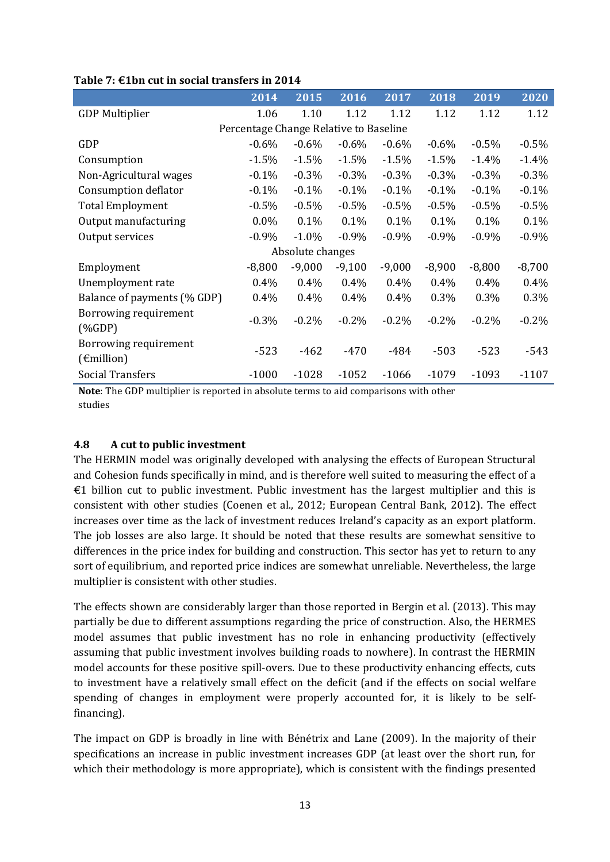|                                                                                                                                                                                                                                                                                                                                                            | 2014                                   | 2015             | 2016     | 2017     | 2018     | 2019     | 2020     |
|------------------------------------------------------------------------------------------------------------------------------------------------------------------------------------------------------------------------------------------------------------------------------------------------------------------------------------------------------------|----------------------------------------|------------------|----------|----------|----------|----------|----------|
| <b>GDP Multiplier</b>                                                                                                                                                                                                                                                                                                                                      | 1.06                                   | 1.10             | 1.12     | 1.12     | 1.12     | 1.12     | 1.12     |
|                                                                                                                                                                                                                                                                                                                                                            | Percentage Change Relative to Baseline |                  |          |          |          |          |          |
| GDP                                                                                                                                                                                                                                                                                                                                                        | $-0.6\%$                               | $-0.6%$          | $-0.6%$  | $-0.6%$  | $-0.6\%$ | $-0.5%$  | $-0.5%$  |
| Consumption                                                                                                                                                                                                                                                                                                                                                | $-1.5%$                                | $-1.5%$          | $-1.5%$  | $-1.5%$  | $-1.5%$  | $-1.4%$  | $-1.4%$  |
| Non-Agricultural wages                                                                                                                                                                                                                                                                                                                                     | $-0.1%$                                | $-0.3%$          | $-0.3%$  | $-0.3%$  | $-0.3%$  | $-0.3%$  | $-0.3%$  |
| Consumption deflator                                                                                                                                                                                                                                                                                                                                       | $-0.1%$                                | $-0.1%$          | $-0.1%$  | $-0.1%$  | $-0.1%$  | $-0.1%$  | $-0.1%$  |
| <b>Total Employment</b>                                                                                                                                                                                                                                                                                                                                    | $-0.5\%$                               | $-0.5%$          | $-0.5%$  | $-0.5%$  | $-0.5%$  | $-0.5\%$ | $-0.5%$  |
| Output manufacturing                                                                                                                                                                                                                                                                                                                                       | $0.0\%$                                | 0.1%             | 0.1%     | 0.1%     | 0.1%     | 0.1%     | 0.1%     |
| Output services                                                                                                                                                                                                                                                                                                                                            | $-0.9%$                                | $-1.0\%$         | $-0.9\%$ | $-0.9%$  | $-0.9\%$ | $-0.9%$  | $-0.9%$  |
|                                                                                                                                                                                                                                                                                                                                                            |                                        | Absolute changes |          |          |          |          |          |
| Employment                                                                                                                                                                                                                                                                                                                                                 | $-8,800$                               | $-9,000$         | $-9,100$ | $-9,000$ | $-8,900$ | $-8,800$ | $-8,700$ |
| Unemployment rate                                                                                                                                                                                                                                                                                                                                          | $0.4\%$                                | 0.4%             | $0.4\%$  | $0.4\%$  | $0.4\%$  | $0.4\%$  | 0.4%     |
| Balance of payments (% GDP)                                                                                                                                                                                                                                                                                                                                | $0.4\%$                                | 0.4%             | $0.4\%$  | $0.4\%$  | 0.3%     | 0.3%     | 0.3%     |
| Borrowing requirement<br>$(%$ $(%$ $\mathbf{A})$ $\mathbf{A}$ $\mathbf{A}$ $\mathbf{C}$ $\mathbf{D}$ $\mathbf{P}$ $\mathbf{D}$ $\mathbf{D}$ $\mathbf{D}$ $\mathbf{D}$ $\mathbf{D}$ $\mathbf{D}$ $\mathbf{D}$ $\mathbf{D}$ $\mathbf{D}$ $\mathbf{D}$ $\mathbf{D}$ $\mathbf{D}$ $\mathbf{D}$ $\mathbf{D}$ $\mathbf{D}$ $\mathbf{D}$ $\mathbf{D}$ $\mathbf{D$ | $-0.3%$                                | $-0.2%$          | $-0.2%$  | $-0.2%$  | $-0.2%$  | $-0.2%$  | $-0.2%$  |
| Borrowing requirement<br>$(\epsilon$ million)                                                                                                                                                                                                                                                                                                              | $-523$                                 | $-462$           | $-470$   | $-484$   | $-503$   | $-523$   | $-543$   |
| <b>Social Transfers</b>                                                                                                                                                                                                                                                                                                                                    | $-1000$                                | $-1028$          | $-1052$  | $-1066$  | $-1079$  | $-1093$  | $-1107$  |

#### **Table 7: €1bn cut in social transfers in 2014**

**Note**: The GDP multiplier is reported in absolute terms to aid comparisons with other studies

## **4.8 A cut to public investment**

The HERMIN model was originally developed with analysing the effects of European Structural and Cohesion funds specifically in mind, and is therefore well suited to measuring the effect of a  $€1$  billion cut to public investment. Public investment has the largest multiplier and this is consistent with other studies [\(Coenen et al., 2012;](#page-21-9) [European Central Bank, 2012\)](#page-21-6). The effect increases over time as the lack of investment reduces Ireland's capacity as an export platform. The job losses are also large. It should be noted that these results are somewhat sensitive to differences in the price index for building and construction. This sector has yet to return to any sort of equilibrium, and reported price indices are somewhat unreliable. Nevertheless, the large multiplier is consistent with other studies.

The effects shown are considerably larger than those reported in [Bergin et al. \(2013\)](#page-21-17). This may partially be due to different assumptions regarding the price of construction. Also, the HERMES model assumes that public investment has no role in enhancing productivity (effectively assuming that public investment involves building roads to nowhere). In contrast the HERMIN model accounts for these positive spill-overs. Due to these productivity enhancing effects, cuts to investment have a relatively small effect on the deficit (and if the effects on social welfare spending of changes in employment were properly accounted for, it is likely to be selffinancing).

The impact on GDP is broadly in line with [Bénétrix and Lane \(2009\)](#page-21-14). In the majority of their specifications an increase in public investment increases GDP (at least over the short run, for which their methodology is more appropriate), which is consistent with the findings presented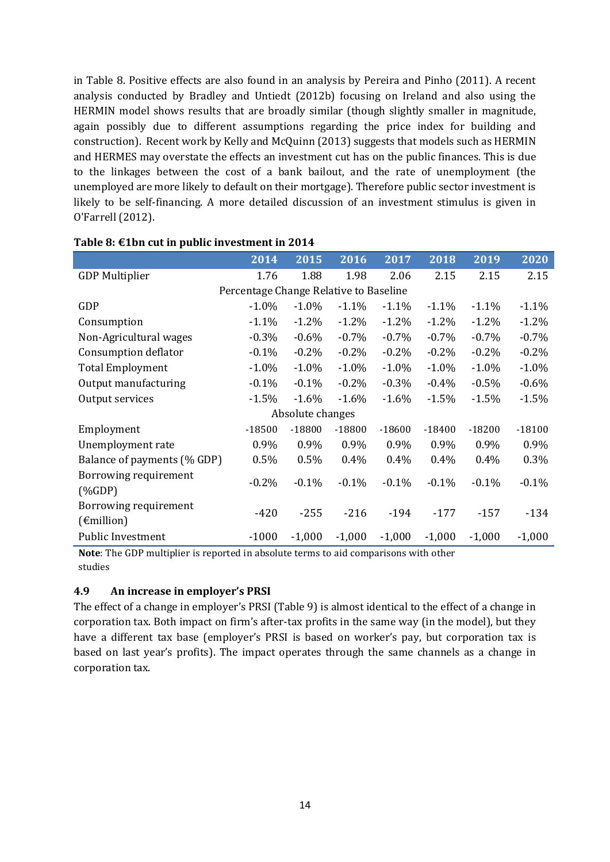in Table 8. Positive effects are also found in an analysis by [Pereira and Pinho \(2011\)](#page-22-4). A recent analysis conducted by [Bradley and Untiedt \(2012b\)](#page-21-18) focusing on Ireland and also using the HERMIN model shows results that are broadly similar (though slightly smaller in magnitude, again possibly due to different assumptions regarding the price index for building and construction). Recent work by [Kelly and McQuinn \(2013\)](#page-22-5) suggests that models such as HERMIN and HERMES may overstate the effects an investment cut has on the public finances. This is due to the linkages between the cost of a bank bailout, and the rate of unemployment (the unemployed are more likely to default on their mortgage). Therefore public sector investment is likely to be self-financing. A more detailed discussion of an investment stimulus is given in [O'Farrell \(2012\)](#page-22-6).

|                             | $2\overline{014}$                      | 2015             | 2016     | 2017     | 2018     | 2019     | 2020     |
|-----------------------------|----------------------------------------|------------------|----------|----------|----------|----------|----------|
| <b>GDP Multiplier</b>       | 1.76                                   | 1.88             | 1.98     | 2.06     | 2.15     | 2.15     | 2.15     |
|                             | Percentage Change Relative to Baseline |                  |          |          |          |          |          |
| GDP                         | $-1.0\%$                               | $-1.0\%$         | $-1.1\%$ | $-1.1\%$ | $-1.1\%$ | $-1.1\%$ | $-1.1%$  |
| Consumption                 | $-1.1\%$                               | $-1.2\%$         | $-1.2%$  | $-1.2%$  | $-1.2%$  | $-1.2%$  | $-1.2%$  |
| Non-Agricultural wages      | $-0.3%$                                | $-0.6%$          | $-0.7%$  | $-0.7%$  | $-0.7%$  | $-0.7%$  | $-0.7%$  |
| Consumption deflator        | $-0.1%$                                | $-0.2\%$         | $-0.2%$  | $-0.2%$  | $-0.2%$  | $-0.2%$  | $-0.2%$  |
| <b>Total Employment</b>     | $-1.0\%$                               | $-1.0\%$         | $-1.0\%$ | $-1.0\%$ | $-1.0\%$ | $-1.0\%$ | $-1.0%$  |
| Output manufacturing        | $-0.1%$                                | $-0.1\%$         | $-0.2%$  | $-0.3%$  | $-0.4\%$ | $-0.5%$  | $-0.6%$  |
| Output services             | $-1.5%$                                | $-1.6%$          | $-1.6\%$ | $-1.6\%$ | $-1.5%$  | $-1.5%$  | $-1.5%$  |
|                             |                                        | Absolute changes |          |          |          |          |          |
| Employment                  | $-18500$                               | $-18800$         | $-18800$ | $-18600$ | $-18400$ | $-18200$ | $-18100$ |
| Unemployment rate           | 0.9%                                   | 0.9%             | 0.9%     | 0.9%     | 0.9%     | 0.9%     | 0.9%     |
| Balance of payments (% GDP) | 0.5%                                   | 0.5%             | 0.4%     | $0.4\%$  | 0.4%     | $0.4\%$  | 0.3%     |
| Borrowing requirement       | $-0.2%$                                | $-0.1%$          | $-0.1%$  | $-0.1\%$ | $-0.1\%$ | $-0.1\%$ | $-0.1%$  |
| $(\%GDP)$                   |                                        |                  |          |          |          |          |          |
| Borrowing requirement       | $-420$                                 | $-255$           | $-216$   | $-194$   | $-177$   | $-157$   | $-134$   |
| $(\epsilon$ million)        |                                        |                  |          |          |          |          |          |
| <b>Public Investment</b>    | $-1000$                                | $-1,000$         | $-1,000$ | $-1,000$ | $-1,000$ | $-1,000$ | $-1,000$ |

#### **Table 8: €1bn cut in public investment in 2014**

**Note**: The GDP multiplier is reported in absolute terms to aid comparisons with other studies

#### **4.9 An increase in employer's PRSI**

The effect of a change in employer's PRSI (Table 9) is almost identical to the effect of a change in corporation tax. Both impact on firm's after-tax profits in the same way (in the model), but they have a different tax base (employer's PRSI is based on worker's pay, but corporation tax is based on last year's profits). The impact operates through the same channels as a change in corporation tax.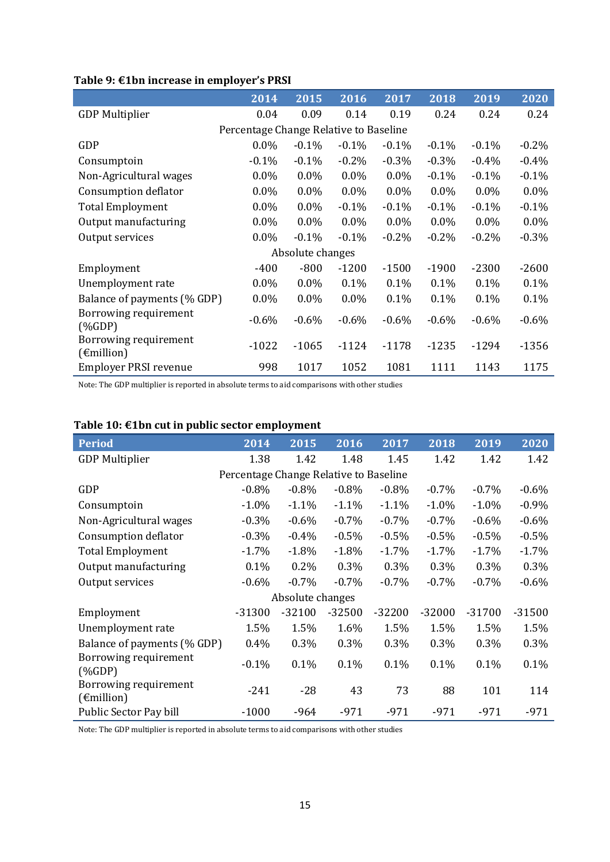|                                               | 2014                                   | 2015             | 2016     | 2017     | 2018     | 2019     | 2020    |
|-----------------------------------------------|----------------------------------------|------------------|----------|----------|----------|----------|---------|
| <b>GDP Multiplier</b>                         | 0.04                                   | 0.09             | 0.14     | 0.19     | 0.24     | 0.24     | 0.24    |
|                                               | Percentage Change Relative to Baseline |                  |          |          |          |          |         |
| GDP                                           | $0.0\%$                                | $-0.1%$          | $-0.1%$  | $-0.1\%$ | $-0.1\%$ | $-0.1\%$ | $-0.2%$ |
| Consumptoin                                   | $-0.1%$                                | $-0.1%$          | $-0.2%$  | $-0.3%$  | $-0.3\%$ | $-0.4%$  | $-0.4%$ |
| Non-Agricultural wages                        | $0.0\%$                                | $0.0\%$          | $0.0\%$  | $0.0\%$  | $-0.1\%$ | $-0.1\%$ | $-0.1%$ |
| Consumption deflator                          | $0.0\%$                                | $0.0\%$          | $0.0\%$  | $0.0\%$  | $0.0\%$  | $0.0\%$  | $0.0\%$ |
| <b>Total Employment</b>                       | $0.0\%$                                | $0.0\%$          | $-0.1%$  | $-0.1%$  | $-0.1%$  | $-0.1%$  | $-0.1%$ |
| Output manufacturing                          | $0.0\%$                                | $0.0\%$          | $0.0\%$  | $0.0\%$  | $0.0\%$  | $0.0\%$  | $0.0\%$ |
| Output services                               | $0.0\%$                                | $-0.1\%$         | $-0.1\%$ | $-0.2\%$ | $-0.2\%$ | $-0.2\%$ | $-0.3%$ |
|                                               |                                        | Absolute changes |          |          |          |          |         |
| Employment                                    | $-400$                                 | $-800$           | $-1200$  | $-1500$  | $-1900$  | $-2300$  | $-2600$ |
| Unemployment rate                             | $0.0\%$                                | $0.0\%$          | 0.1%     | 0.1%     | 0.1%     | 0.1%     | 0.1%    |
| Balance of payments (% GDP)                   | $0.0\%$                                | $0.0\%$          | $0.0\%$  | 0.1%     | 0.1%     | 0.1%     | 0.1%    |
| Borrowing requirement<br>$(\%GDP)$            | $-0.6%$                                | $-0.6\%$         | $-0.6\%$ | $-0.6%$  | $-0.6\%$ | $-0.6\%$ | $-0.6%$ |
| Borrowing requirement<br>$(\epsilon$ million) | $-1022$                                | $-1065$          | $-1124$  | $-1178$  | $-1235$  | $-1294$  | $-1356$ |
| <b>Employer PRSI revenue</b>                  | 998                                    | 1017             | 1052     | 1081     | 1111     | 1143     | 1175    |

## **Table 9: €1bn increase in employer's PRSI**

Note: The GDP multiplier is reported in absolute terms to aid comparisons with other studies

| <b>Period</b>                                 | 2014                                   | 2015             | $20\overline{16}$ | 2017     | 2018     | 2019     | 2020     |
|-----------------------------------------------|----------------------------------------|------------------|-------------------|----------|----------|----------|----------|
| <b>GDP Multiplier</b>                         | 1.38                                   | 1.42             | 1.48              | 1.45     | 1.42     | 1.42     | 1.42     |
|                                               | Percentage Change Relative to Baseline |                  |                   |          |          |          |          |
| <b>GDP</b>                                    | $-0.8%$                                | $-0.8\%$         | $-0.8%$           | $-0.8%$  | $-0.7\%$ | $-0.7\%$ | $-0.6%$  |
| Consumptoin                                   | $-1.0%$                                | $-1.1%$          | $-1.1%$           | $-1.1%$  | $-1.0\%$ | $-1.0%$  | $-0.9%$  |
| Non-Agricultural wages                        | $-0.3%$                                | $-0.6%$          | $-0.7%$           | $-0.7%$  | $-0.7%$  | $-0.6%$  | $-0.6%$  |
| Consumption deflator                          | $-0.3%$                                | $-0.4%$          | $-0.5%$           | $-0.5%$  | $-0.5%$  | $-0.5%$  | $-0.5%$  |
| <b>Total Employment</b>                       | $-1.7%$                                | $-1.8%$          | $-1.8%$           | $-1.7%$  | $-1.7%$  | $-1.7%$  | $-1.7%$  |
| Output manufacturing                          | 0.1%                                   | $0.2\%$          | 0.3%              | 0.3%     | 0.3%     | 0.3%     | 0.3%     |
| Output services                               | $-0.6%$                                | $-0.7%$          | $-0.7%$           | $-0.7%$  | $-0.7%$  | $-0.7%$  | $-0.6%$  |
|                                               |                                        | Absolute changes |                   |          |          |          |          |
| Employment                                    | $-31300$                               | $-32100$         | $-32500$          | $-32200$ | $-32000$ | $-31700$ | $-31500$ |
| Unemployment rate                             | 1.5%                                   | 1.5%             | 1.6%              | 1.5%     | 1.5%     | 1.5%     | 1.5%     |
| Balance of payments (% GDP)                   | $0.4\%$                                | 0.3%             | 0.3%              | 0.3%     | 0.3%     | 0.3%     | 0.3%     |
| Borrowing requirement<br>$(\%GDP)$            | $-0.1%$                                | 0.1%             | 0.1%              | 0.1%     | 0.1%     | 0.1%     | 0.1%     |
| Borrowing requirement<br>$(\epsilon$ million) | $-241$                                 | $-28$            | 43                | 73       | 88       | 101      | 114      |
| Public Sector Pay bill                        | $-1000$                                | $-964$           | $-971$            | $-971$   | $-971$   | $-971$   | $-971$   |

## **Table 10: €1bn cut in public sector employment**

Note: The GDP multiplier is reported in absolute terms to aid comparisons with other studies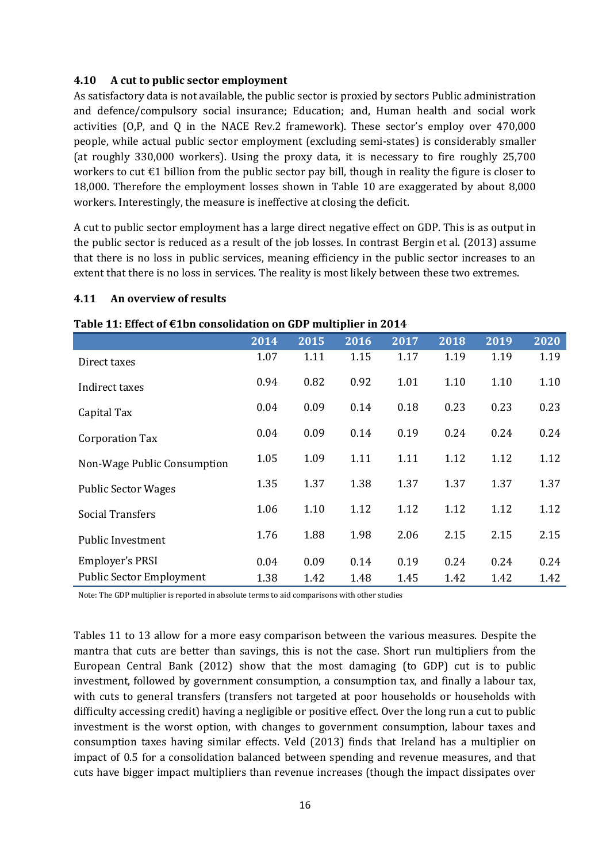#### **4.10 A cut to public sector employment**

As satisfactory data is not available, the public sector is proxied by sectors Public administration and defence/compulsory social insurance; Education; and, Human health and social work activities (O,P, and Q in the NACE Rev.2 framework). These sector's employ over 470,000 people, while actual public sector employment (excluding semi-states) is considerably smaller (at roughly 330,000 workers). Using the proxy data, it is necessary to fire roughly 25,700 workers to cut €1 billion from the public sector pay bill, though in reality the figure is closer to 18,000. Therefore the employment losses shown in Table 10 are exaggerated by about 8,000 workers. Interestingly, the measure is ineffective at closing the deficit.

A cut to public sector employment has a large direct negative effect on GDP. This is as output in the public sector is reduced as a result of the job losses. In contrast [Bergin et al. \(2013\)](#page-21-17) assume that there is no loss in public services, meaning efficiency in the public sector increases to an extent that there is no loss in services. The reality is most likely between these two extremes.

#### **4.11 An overview of results**

|                                 | 2014 | 2015 | 2016 | 2017 | 2018 | 2019 | 2020 |
|---------------------------------|------|------|------|------|------|------|------|
| Direct taxes                    | 1.07 | 1.11 | 1.15 | 1.17 | 1.19 | 1.19 | 1.19 |
| Indirect taxes                  | 0.94 | 0.82 | 0.92 | 1.01 | 1.10 | 1.10 | 1.10 |
| Capital Tax                     | 0.04 | 0.09 | 0.14 | 0.18 | 0.23 | 0.23 | 0.23 |
| <b>Corporation Tax</b>          | 0.04 | 0.09 | 0.14 | 0.19 | 0.24 | 0.24 | 0.24 |
| Non-Wage Public Consumption     | 1.05 | 1.09 | 1.11 | 1.11 | 1.12 | 1.12 | 1.12 |
| <b>Public Sector Wages</b>      | 1.35 | 1.37 | 1.38 | 1.37 | 1.37 | 1.37 | 1.37 |
| <b>Social Transfers</b>         | 1.06 | 1.10 | 1.12 | 1.12 | 1.12 | 1.12 | 1.12 |
| <b>Public Investment</b>        | 1.76 | 1.88 | 1.98 | 2.06 | 2.15 | 2.15 | 2.15 |
| Employer's PRSI                 | 0.04 | 0.09 | 0.14 | 0.19 | 0.24 | 0.24 | 0.24 |
| <b>Public Sector Employment</b> | 1.38 | 1.42 | 1.48 | 1.45 | 1.42 | 1.42 | 1.42 |

**Table 11: Effect of €1bn consolidation on GDP multiplier in 2014**

Note: The GDP multiplier is reported in absolute terms to aid comparisons with other studies

Tables 11 to 13 allow for a more easy comparison between the various measures. Despite the mantra that cuts are better than savings, this is not the case. Short run multipliers from the [European Central Bank \(2012\)](#page-21-6) show that the most damaging (to GDP) cut is to public investment, followed by government consumption, a consumption tax, and finally a labour tax, with cuts to general transfers (transfers not targeted at poor households or households with difficulty accessing credit) having a negligible or positive effect. Over the long run a cut to public investment is the worst option, with changes to government consumption, labour taxes and consumption taxes having similar effects. [Veld \(2013\)](#page-22-2) finds that Ireland has a multiplier on impact of 0.5 for a consolidation balanced between spending and revenue measures, and that cuts have bigger impact multipliers than revenue increases (though the impact dissipates over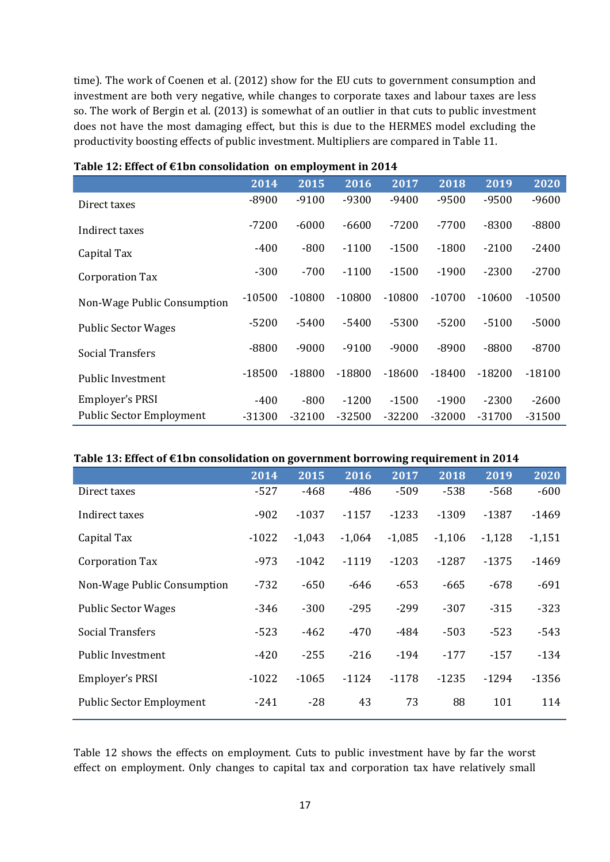time). The work of [Coenen et al. \(2012\)](#page-21-9) show for the EU cuts to government consumption and investment are both very negative, while changes to corporate taxes and labour taxes are less so. The work of [Bergin et al. \(2013\)](#page-21-17) is somewhat of an outlier in that cuts to public investment does not have the most damaging effect, but this is due to the HERMES model excluding the productivity boosting effects of public investment. Multipliers are compared in Table 11.

|                                 | 2014     | 2015     | 2016     | 2017     | 2018     | 2019     | 2020     |
|---------------------------------|----------|----------|----------|----------|----------|----------|----------|
| Direct taxes                    | $-8900$  | $-9100$  | $-9300$  | $-9400$  | $-9500$  | $-9500$  | $-9600$  |
| Indirect taxes                  | $-7200$  | $-6000$  | $-6600$  | $-7200$  | $-7700$  | $-8300$  | $-8800$  |
| Capital Tax                     | $-400$   | $-800$   | $-1100$  | $-1500$  | $-1800$  | $-2100$  | $-2400$  |
| <b>Corporation Tax</b>          | $-300$   | $-700$   | $-1100$  | $-1500$  | $-1900$  | $-2300$  | $-2700$  |
| Non-Wage Public Consumption     | $-10500$ | $-10800$ | $-10800$ | $-10800$ | $-10700$ | $-10600$ | $-10500$ |
| <b>Public Sector Wages</b>      | $-5200$  | $-5400$  | $-5400$  | $-5300$  | $-5200$  | $-5100$  | $-5000$  |
| <b>Social Transfers</b>         | $-8800$  | $-9000$  | $-9100$  | $-9000$  | $-8900$  | $-8800$  | $-8700$  |
| <b>Public Investment</b>        | $-18500$ | $-18800$ | $-18800$ | $-18600$ | $-18400$ | $-18200$ | $-18100$ |
| Employer's PRSI                 | $-400$   | $-800$   | $-1200$  | $-1500$  | $-1900$  | $-2300$  | $-2600$  |
| <b>Public Sector Employment</b> | -31300   | $-32100$ | $-32500$ | $-32200$ | $-32000$ | $-31700$ | $-31500$ |

| Table 12: Effect of €1bn consolidation on employment in 2014 |  |  |
|--------------------------------------------------------------|--|--|
|--------------------------------------------------------------|--|--|

#### **Table 13: Effect of €1bn consolidation on government borrowing requirement in 2014**

|                                 | 2014    | 2015     | 2016     | 2017     | 2018     | 2019     | 2020     |
|---------------------------------|---------|----------|----------|----------|----------|----------|----------|
| Direct taxes                    | $-527$  | -468     | $-486$   | $-509$   | $-538$   | $-568$   | $-600$   |
| Indirect taxes                  | $-902$  | $-1037$  | $-1157$  | $-1233$  | $-1309$  | $-1387$  | $-1469$  |
| Capital Tax                     | $-1022$ | $-1,043$ | $-1,064$ | $-1,085$ | $-1,106$ | $-1,128$ | $-1,151$ |
| <b>Corporation Tax</b>          | $-973$  | $-1042$  | $-1119$  | $-1203$  | $-1287$  | $-1375$  | $-1469$  |
| Non-Wage Public Consumption     | $-732$  | $-650$   | $-646$   | $-653$   | $-665$   | $-678$   | $-691$   |
| <b>Public Sector Wages</b>      | $-346$  | $-300$   | $-295$   | $-299$   | $-307$   | $-315$   | $-323$   |
| <b>Social Transfers</b>         | $-523$  | $-462$   | $-470$   | $-484$   | $-503$   | $-523$   | $-543$   |
| <b>Public Investment</b>        | $-420$  | $-255$   | $-216$   | $-194$   | $-177$   | $-157$   | $-134$   |
| Employer's PRSI                 | $-1022$ | $-1065$  | $-1124$  | $-1178$  | $-1235$  | $-1294$  | $-1356$  |
| <b>Public Sector Employment</b> | $-241$  | $-28$    | 43       | 73       | 88       | 101      | 114      |

Table 12 shows the effects on employment. Cuts to public investment have by far the worst effect on employment. Only changes to capital tax and corporation tax have relatively small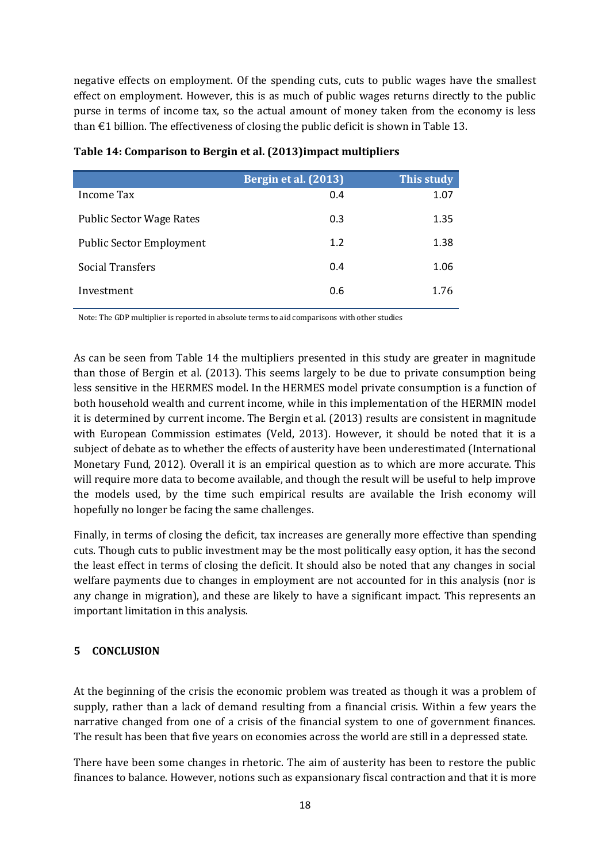negative effects on employment. Of the spending cuts, cuts to public wages have the smallest effect on employment. However, this is as much of public wages returns directly to the public purse in terms of income tax, so the actual amount of money taken from the economy is less than  $\epsilon$ 1 billion. The effectiveness of closing the public deficit is shown in Table 13.

|                                 | Bergin et al. (2013) | This study |
|---------------------------------|----------------------|------------|
| Income Tax                      | 0.4                  | 1.07       |
| <b>Public Sector Wage Rates</b> | 0.3                  | 1.35       |
| <b>Public Sector Employment</b> | 1.2                  | 1.38       |
| <b>Social Transfers</b>         | 0.4                  | 1.06       |
| Investment                      | 0.6                  | 1.76       |

**Table 14: Comparison to [Bergin et al. \(2013\)](#page-21-17)impact multipliers**

Note: The GDP multiplier is reported in absolute terms to aid comparisons with other studies

As can be seen from Table 14 the multipliers presented in this study are greater in magnitude than those of [Bergin et al. \(2013\)](#page-21-17). This seems largely to be due to private consumption being less sensitive in the HERMES model. In the HERMES model private consumption is a function of both household wealth and current income, while in this implementation of the HERMIN model it is determined by current income. The [Bergin et al. \(2013\)](#page-21-17) results are consistent in magnitude with European Commission estimates [\(Veld, 2013\)](#page-22-2). However, it should be noted that it is a subject of debate as to whether the effects of austerity have been underestimated [\(International](#page-22-0)  [Monetary Fund, 2012\)](#page-22-0). Overall it is an empirical question as to which are more accurate. This will require more data to become available, and though the result will be useful to help improve the models used, by the time such empirical results are available the Irish economy will hopefully no longer be facing the same challenges.

Finally, in terms of closing the deficit, tax increases are generally more effective than spending cuts. Though cuts to public investment may be the most politically easy option, it has the second the least effect in terms of closing the deficit. It should also be noted that any changes in social welfare payments due to changes in employment are not accounted for in this analysis (nor is any change in migration), and these are likely to have a significant impact. This represents an important limitation in this analysis.

#### **5 CONCLUSION**

At the beginning of the crisis the economic problem was treated as though it was a problem of supply, rather than a lack of demand resulting from a financial crisis. Within a few years the narrative changed from one of a crisis of the financial system to one of government finances. The result has been that five years on economies across the world are still in a depressed state.

There have been some changes in rhetoric. The aim of austerity has been to restore the public finances to balance. However, notions such as expansionary fiscal contraction and that it is more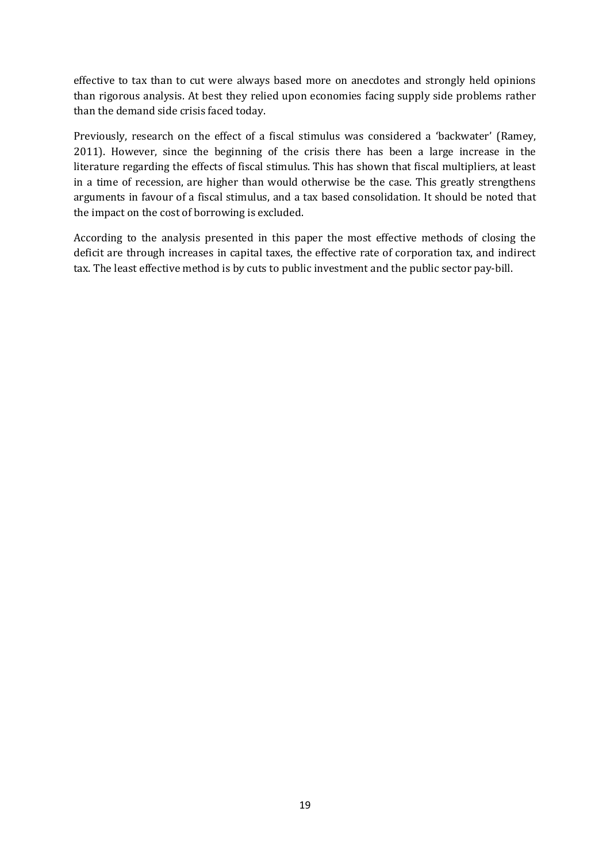effective to tax than to cut were always based more on anecdotes and strongly held opinions than rigorous analysis. At best they relied upon economies facing supply side problems rather than the demand side crisis faced today.

Previously, research on the effect of a fiscal stimulus was considered a 'backwater' [\(Ramey,](#page-22-1)  [2011\)](#page-22-1). However, since the beginning of the crisis there has been a large increase in the literature regarding the effects of fiscal stimulus. This has shown that fiscal multipliers, at least in a time of recession, are higher than would otherwise be the case. This greatly strengthens arguments in favour of a fiscal stimulus, and a tax based consolidation. It should be noted that the impact on the cost of borrowing is excluded.

According to the analysis presented in this paper the most effective methods of closing the deficit are through increases in capital taxes, the effective rate of corporation tax, and indirect tax. The least effective method is by cuts to public investment and the public sector pay-bill.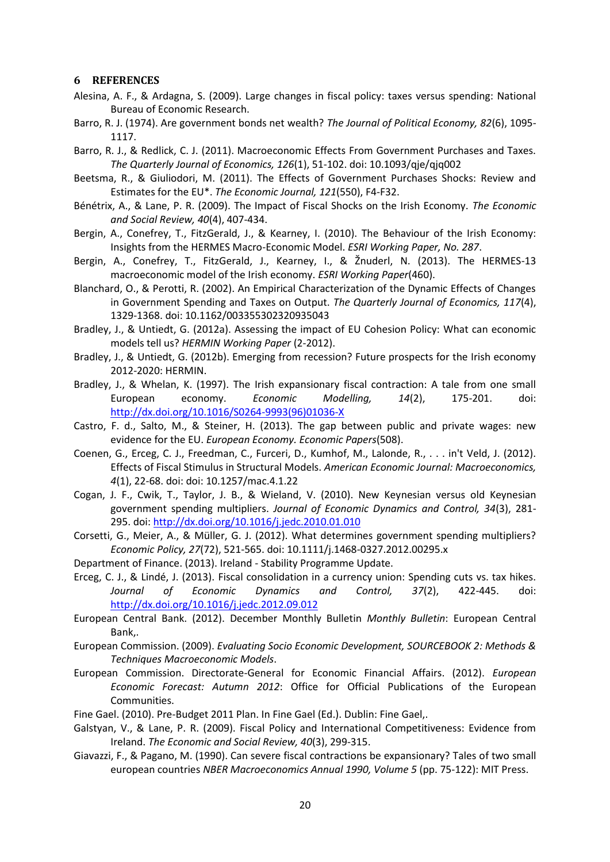#### **6 REFERENCES**

- <span id="page-21-8"></span>Alesina, A. F., & Ardagna, S. (2009). Large changes in fiscal policy: taxes versus spending: National Bureau of Economic Research.
- <span id="page-21-0"></span>Barro, R. J. (1974). Are government bonds net wealth? *The Journal of Political Economy, 82*(6), 1095- 1117.
- <span id="page-21-4"></span>Barro, R. J., & Redlick, C. J. (2011). Macroeconomic Effects From Government Purchases and Taxes. *The Quarterly Journal of Economics, 126*(1), 51-102. doi: 10.1093/qje/qjq002
- <span id="page-21-13"></span>Beetsma, R., & Giuliodori, M. (2011). The Effects of Government Purchases Shocks: Review and Estimates for the EU\*. *The Economic Journal, 121*(550), F4-F32.
- <span id="page-21-14"></span>Bénétrix, A., & Lane, P. R. (2009). The Impact of Fiscal Shocks on the Irish Economy. *The Economic and Social Review, 40*(4), 407-434.
- <span id="page-21-22"></span>Bergin, A., Conefrey, T., FitzGerald, J., & Kearney, I. (2010). The Behaviour of the Irish Economy: Insights from the HERMES Macro-Economic Model. *ESRI Working Paper, No. 287*.
- <span id="page-21-17"></span>Bergin, A., Conefrey, T., FitzGerald, J., Kearney, I., & Žnuderl, N. (2013). The HERMES-13 macroeconomic model of the Irish economy. *ESRI Working Paper*(460).
- <span id="page-21-3"></span>Blanchard, O., & Perotti, R. (2002). An Empirical Characterization of the Dynamic Effects of Changes in Government Spending and Taxes on Output. *The Quarterly Journal of Economics, 117*(4), 1329-1368. doi: 10.1162/003355302320935043
- <span id="page-21-19"></span>Bradley, J., & Untiedt, G. (2012a). Assessing the impact of EU Cohesion Policy: What can economic models tell us? *HERMIN Working Paper* (2-2012).
- <span id="page-21-18"></span>Bradley, J., & Untiedt, G. (2012b). Emerging from recession? Future prospects for the Irish economy 2012-2020: HERMIN.
- <span id="page-21-2"></span>Bradley, J., & Whelan, K. (1997). The Irish expansionary fiscal contraction: A tale from one small European economy. *Economic Modelling, 14*(2), 175-201. doi: [http://dx.doi.org/10.1016/S0264-9993\(96\)01036-X](http://dx.doi.org/10.1016/S0264-9993(96)01036-X)
- <span id="page-21-11"></span>Castro, F. d., Salto, M., & Steiner, H. (2013). The gap between public and private wages: new evidence for the EU. *European Economy. Economic Papers*(508).
- <span id="page-21-9"></span>Coenen, G., Erceg, C. J., Freedman, C., Furceri, D., Kumhof, M., Lalonde, R., . . . in't Veld, J. (2012). Effects of Fiscal Stimulus in Structural Models. *American Economic Journal: Macroeconomics, 4*(1), 22-68. doi: doi: 10.1257/mac.4.1.22
- <span id="page-21-16"></span>Cogan, J. F., Cwik, T., Taylor, J. B., & Wieland, V. (2010). New Keynesian versus old Keynesian government spending multipliers. *Journal of Economic Dynamics and Control, 34*(3), 281- 295. doi[: http://dx.doi.org/10.1016/j.jedc.2010.01.010](http://dx.doi.org/10.1016/j.jedc.2010.01.010)
- <span id="page-21-12"></span>Corsetti, G., Meier, A., & Müller, G. J. (2012). What determines government spending multipliers? *Economic Policy, 27*(72), 521-565. doi: 10.1111/j.1468-0327.2012.00295.x
- <span id="page-21-21"></span>Department of Finance. (2013). Ireland - Stability Programme Update.
- <span id="page-21-10"></span>Erceg, C. J., & Lindé, J. (2013). Fiscal consolidation in a currency union: Spending cuts vs. tax hikes. *Journal of Economic Dynamics and Control, 37*(2), 422-445. doi: <http://dx.doi.org/10.1016/j.jedc.2012.09.012>
- <span id="page-21-6"></span>European Central Bank. (2012). December Monthly Bulletin *Monthly Bulletin*: European Central Bank,.
- <span id="page-21-20"></span>European Commission. (2009). *Evaluating Socio Economic Development, SOURCEBOOK 2: Methods & Techniques Macroeconomic Models*.
- <span id="page-21-5"></span>European Commission. Directorate-General for Economic Financial Affairs. (2012). *European Economic Forecast: Autumn 2012*: Office for Official Publications of the European Communities.
- <span id="page-21-7"></span>Fine Gael. (2010). Pre-Budget 2011 Plan. In Fine Gael (Ed.). Dublin: Fine Gael,.
- <span id="page-21-15"></span>Galstyan, V., & Lane, P. R. (2009). Fiscal Policy and International Competitiveness: Evidence from Ireland. *The Economic and Social Review, 40*(3), 299-315.
- <span id="page-21-1"></span>Giavazzi, F., & Pagano, M. (1990). Can severe fiscal contractions be expansionary? Tales of two small european countries *NBER Macroeconomics Annual 1990, Volume 5* (pp. 75-122): MIT Press.